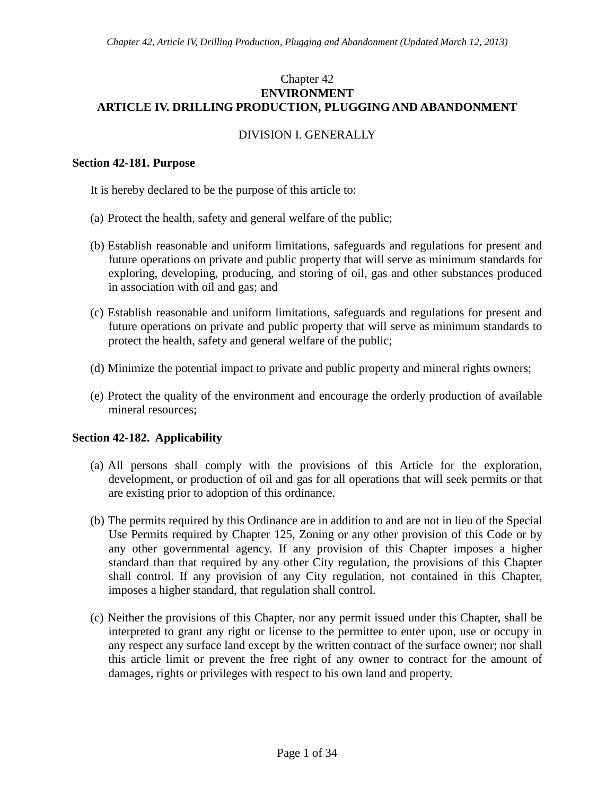# Chapter 42 **ENVIRONMENT ARTICLE IV. DRILLING PRODUCTION, PLUGGING AND ABANDONMENT**

# DIVISION I. GENERALLY

## **Section 42-181. Purpose**

It is hereby declared to be the purpose of this article to:

- (a) Protect the health, safety and general welfare of the public;
- (b) Establish reasonable and uniform limitations, safeguards and regulations for present and future operations on private and public property that will serve as minimum standards for exploring, developing, producing, and storing of oil, gas and other substances produced in association with oil and gas; and
- (c) Establish reasonable and uniform limitations, safeguards and regulations for present and future operations on private and public property that will serve as minimum standards to protect the health, safety and general welfare of the public;
- (d) Minimize the potential impact to private and public property and mineral rights owners;
- (e) Protect the quality of the environment and encourage the orderly production of available mineral resources;

# **Section 42-182. Applicability**

- (a) All persons shall comply with the provisions of this Article for the exploration, development, or production of oil and gas for all operations that will seek permits or that are existing prior to adoption of this ordinance.
- (b) The permits required by this Ordinance are in addition to and are not in lieu of the Special Use Permits required by Chapter 125, Zoning or any other provision of this Code or by any other governmental agency. If any provision of this Chapter imposes a higher standard than that required by any other City regulation, the provisions of this Chapter shall control. If any provision of any City regulation, not contained in this Chapter, imposes a higher standard, that regulation shall control.
- (c) Neither the provisions of this Chapter, nor any permit issued under this Chapter, shall be interpreted to grant any right or license to the permittee to enter upon, use or occupy in any respect any surface land except by the written contract of the surface owner; nor shall this article limit or prevent the free right of any owner to contract for the amount of damages, rights or privileges with respect to his own land and property.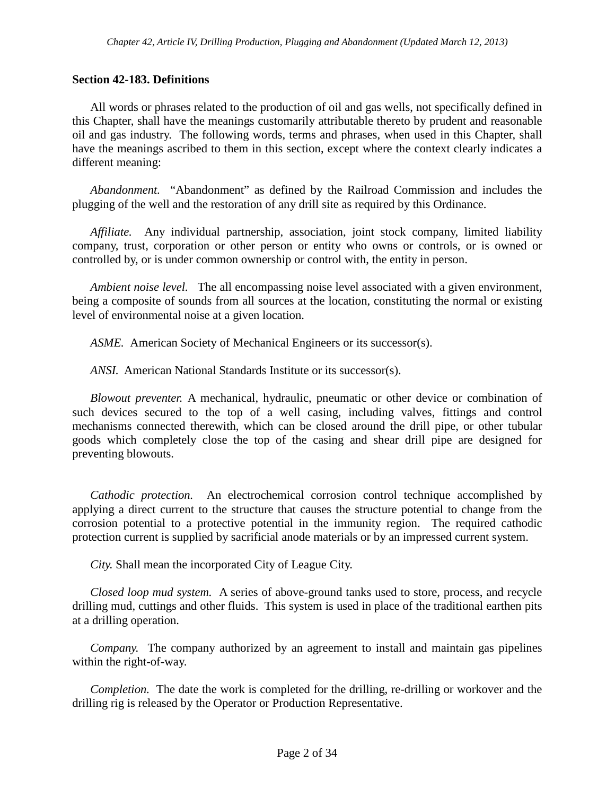## **Section 42-183. Definitions**

All words or phrases related to the production of oil and gas wells, not specifically defined in this Chapter, shall have the meanings customarily attributable thereto by prudent and reasonable oil and gas industry. The following words, terms and phrases, when used in this Chapter, shall have the meanings ascribed to them in this section, except where the context clearly indicates a different meaning:

*Abandonment.* "Abandonment" as defined by the Railroad Commission and includes the plugging of the well and the restoration of any drill site as required by this Ordinance.

*Affiliate.* Any individual partnership, association, joint stock company, limited liability company, trust, corporation or other person or entity who owns or controls, or is owned or controlled by, or is under common ownership or control with, the entity in person.

*Ambient noise level.* The all encompassing noise level associated with a given environment, being a composite of sounds from all sources at the location, constituting the normal or existing level of environmental noise at a given location.

*ASME.* American Society of Mechanical Engineers or its successor(s).

*ANSI.* American National Standards Institute or its successor(s).

*Blowout preventer.* A mechanical, hydraulic, pneumatic or other device or combination of such devices secured to the top of a well casing, including valves, fittings and control mechanisms connected therewith, which can be closed around the drill pipe, or other tubular goods which completely close the top of the casing and shear drill pipe are designed for preventing blowouts.

*Cathodic protection.* An electrochemical corrosion control technique accomplished by applying a direct current to the structure that causes the structure potential to change from the corrosion potential to a protective potential in the immunity region. The required cathodic protection current is supplied by sacrificial anode materials or by an impressed current system.

*City.* Shall mean the incorporated City of League City.

*Closed loop mud system.* A series of above-ground tanks used to store, process, and recycle drilling mud, cuttings and other fluids. This system is used in place of the traditional earthen pits at a drilling operation.

*Company.* The company authorized by an agreement to install and maintain gas pipelines within the right-of-way.

*Completion.* The date the work is completed for the drilling, re-drilling or workover and the drilling rig is released by the Operator or Production Representative.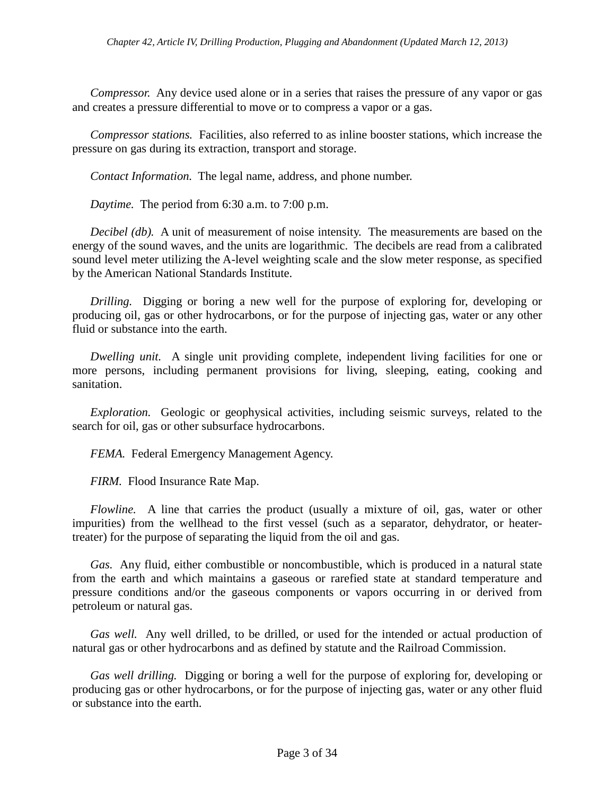*Compressor.* Any device used alone or in a series that raises the pressure of any vapor or gas and creates a pressure differential to move or to compress a vapor or a gas.

*Compressor stations.* Facilities, also referred to as inline booster stations, which increase the pressure on gas during its extraction, transport and storage.

*Contact Information.* The legal name, address, and phone number.

*Daytime.* The period from 6:30 a.m. to 7:00 p.m.

*Decibel (db).* A unit of measurement of noise intensity. The measurements are based on the energy of the sound waves, and the units are logarithmic. The decibels are read from a calibrated sound level meter utilizing the A-level weighting scale and the slow meter response, as specified by the American National Standards Institute.

*Drilling.* Digging or boring a new well for the purpose of exploring for, developing or producing oil, gas or other hydrocarbons, or for the purpose of injecting gas, water or any other fluid or substance into the earth.

*Dwelling unit.* A single unit providing complete, independent living facilities for one or more persons, including permanent provisions for living, sleeping, eating, cooking and sanitation.

*Exploration.* Geologic or geophysical activities, including seismic surveys, related to the search for oil, gas or other subsurface hydrocarbons.

*FEMA.* Federal Emergency Management Agency.

*FIRM.* Flood Insurance Rate Map.

*Flowline.* A line that carries the product (usually a mixture of oil, gas, water or other impurities) from the wellhead to the first vessel (such as a separator, dehydrator, or heatertreater) for the purpose of separating the liquid from the oil and gas.

*Gas.* Any fluid, either combustible or noncombustible, which is produced in a natural state from the earth and which maintains a gaseous or rarefied state at standard temperature and pressure conditions and/or the gaseous components or vapors occurring in or derived from petroleum or natural gas.

*Gas well.* Any well drilled, to be drilled, or used for the intended or actual production of natural gas or other hydrocarbons and as defined by statute and the Railroad Commission.

*Gas well drilling.* Digging or boring a well for the purpose of exploring for, developing or producing gas or other hydrocarbons, or for the purpose of injecting gas, water or any other fluid or substance into the earth.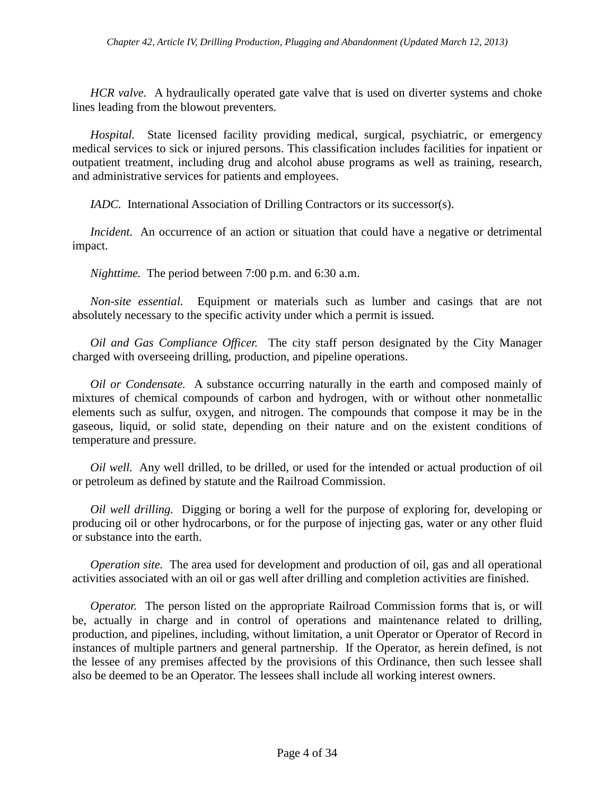*HCR valve.* A hydraulically operated gate valve that is used on diverter systems and choke lines leading from the blowout preventers.

*Hospital.* State licensed facility providing medical, surgical, psychiatric, or emergency medical services to sick or injured persons. This classification includes facilities for inpatient or outpatient treatment, including drug and alcohol abuse programs as well as training, research, and administrative services for patients and employees.

*IADC.* International Association of Drilling Contractors or its successor(s).

*Incident.* An occurrence of an action or situation that could have a negative or detrimental impact.

*Nighttime.* The period between 7:00 p.m. and 6:30 a.m.

*Non-site essential.* Equipment or materials such as lumber and casings that are not absolutely necessary to the specific activity under which a permit is issued.

*Oil and Gas Compliance Officer.* The city staff person designated by the City Manager charged with overseeing drilling, production, and pipeline operations.

*Oil or Condensate.* A substance occurring naturally in the earth and composed mainly of mixtures of chemical compounds of carbon and hydrogen, with or without other nonmetallic elements such as sulfur, oxygen, and nitrogen. The compounds that compose it may be in the gaseous, liquid, or solid state, depending on their nature and on the existent conditions of temperature and pressure.

*Oil well.* Any well drilled, to be drilled, or used for the intended or actual production of oil or petroleum as defined by statute and the Railroad Commission.

*Oil well drilling.* Digging or boring a well for the purpose of exploring for, developing or producing oil or other hydrocarbons, or for the purpose of injecting gas, water or any other fluid or substance into the earth.

*Operation site.* The area used for development and production of oil, gas and all operational activities associated with an oil or gas well after drilling and completion activities are finished.

*Operator.* The person listed on the appropriate Railroad Commission forms that is, or will be, actually in charge and in control of operations and maintenance related to drilling, production, and pipelines, including, without limitation, a unit Operator or Operator of Record in instances of multiple partners and general partnership. If the Operator, as herein defined, is not the lessee of any premises affected by the provisions of this Ordinance, then such lessee shall also be deemed to be an Operator. The lessees shall include all working interest owners.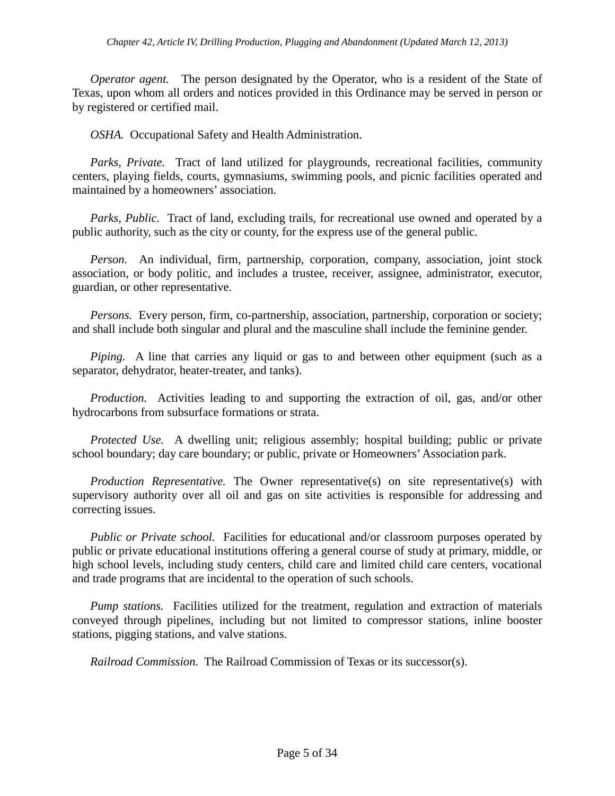*Operator agent.* The person designated by the Operator, who is a resident of the State of Texas, upon whom all orders and notices provided in this Ordinance may be served in person or by registered or certified mail.

*OSHA.* Occupational Safety and Health Administration.

*Parks, Private.* Tract of land utilized for playgrounds, recreational facilities, community centers, playing fields, courts, gymnasiums, swimming pools, and picnic facilities operated and maintained by a homeowners' association.

*Parks, Public.* Tract of land, excluding trails, for recreational use owned and operated by a public authority, such as the city or county, for the express use of the general public.

*Person.* An individual, firm, partnership, corporation, company, association, joint stock association, or body politic, and includes a trustee, receiver, assignee, administrator, executor, guardian, or other representative.

*Persons.* Every person, firm, co-partnership, association, partnership, corporation or society; and shall include both singular and plural and the masculine shall include the feminine gender.

*Piping.* A line that carries any liquid or gas to and between other equipment (such as a separator, dehydrator, heater-treater, and tanks).

*Production.* Activities leading to and supporting the extraction of oil, gas, and/or other hydrocarbons from subsurface formations or strata.

*Protected Use.* A dwelling unit; religious assembly; hospital building; public or private school boundary; day care boundary; or public, private or Homeowners' Association park.

*Production Representative.* The Owner representative(s) on site representative(s) with supervisory authority over all oil and gas on site activities is responsible for addressing and correcting issues.

*Public or Private school.* Facilities for educational and/or classroom purposes operated by public or private educational institutions offering a general course of study at primary, middle, or high school levels, including study centers, child care and limited child care centers, vocational and trade programs that are incidental to the operation of such schools.

*Pump stations.* Facilities utilized for the treatment, regulation and extraction of materials conveyed through pipelines, including but not limited to compressor stations, inline booster stations, pigging stations, and valve stations.

*Railroad Commission.* The Railroad Commission of Texas or its successor(s).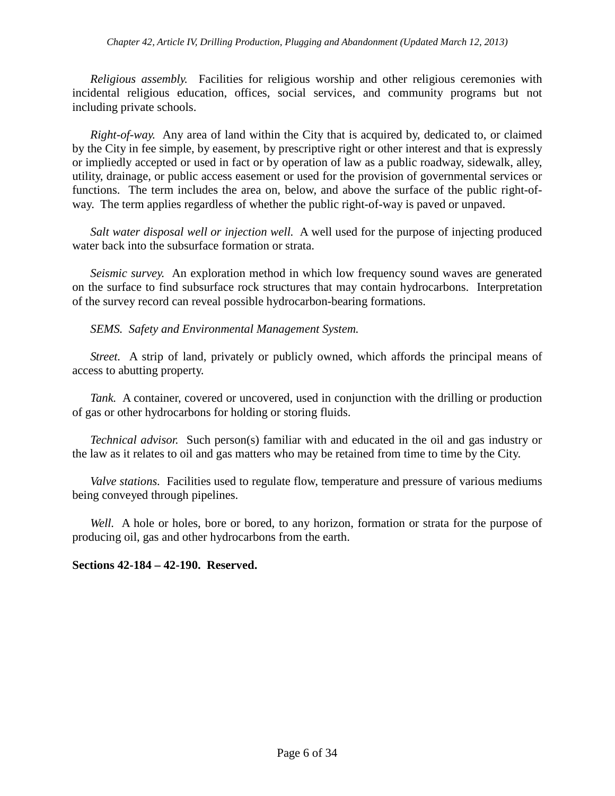*Religious assembly.* Facilities for religious worship and other religious ceremonies with incidental religious education, offices, social services, and community programs but not including private schools.

*Right-of-way.* Any area of land within the City that is acquired by, dedicated to, or claimed by the City in fee simple, by easement, by prescriptive right or other interest and that is expressly or impliedly accepted or used in fact or by operation of law as a public roadway, sidewalk, alley, utility, drainage, or public access easement or used for the provision of governmental services or functions. The term includes the area on, below, and above the surface of the public right-ofway. The term applies regardless of whether the public right-of-way is paved or unpaved.

*Salt water disposal well or injection well.* A well used for the purpose of injecting produced water back into the subsurface formation or strata.

*Seismic survey.* An exploration method in which low frequency sound waves are generated on the surface to find subsurface rock structures that may contain hydrocarbons. Interpretation of the survey record can reveal possible hydrocarbon-bearing formations.

## *SEMS. Safety and Environmental Management System.*

*Street.* A strip of land, privately or publicly owned, which affords the principal means of access to abutting property.

*Tank.* A container, covered or uncovered, used in conjunction with the drilling or production of gas or other hydrocarbons for holding or storing fluids.

*Technical advisor.* Such person(s) familiar with and educated in the oil and gas industry or the law as it relates to oil and gas matters who may be retained from time to time by the City.

*Valve stations.* Facilities used to regulate flow, temperature and pressure of various mediums being conveyed through pipelines.

*Well.* A hole or holes, bore or bored, to any horizon, formation or strata for the purpose of producing oil, gas and other hydrocarbons from the earth.

### **Sections 42-184 – 42-190. Reserved.**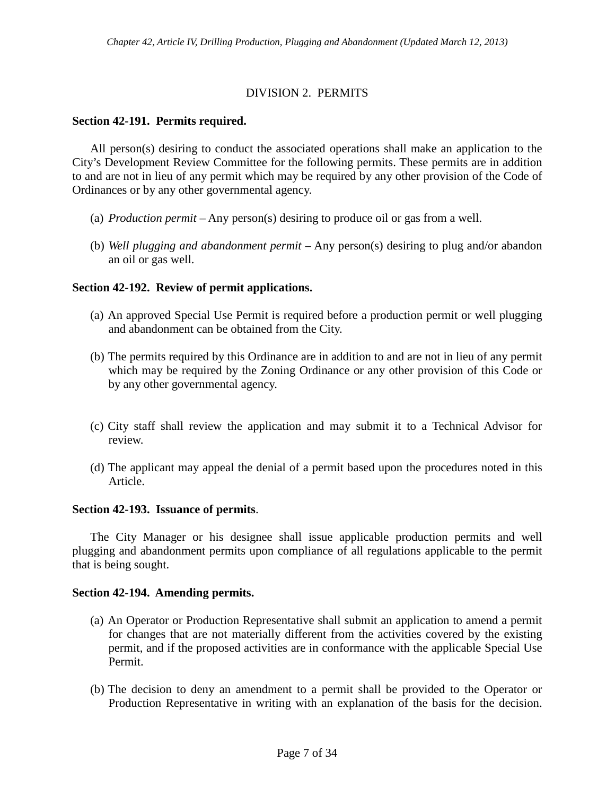# DIVISION 2. PERMITS

# **Section 42-191. Permits required.**

All person(s) desiring to conduct the associated operations shall make an application to the City's Development Review Committee for the following permits. These permits are in addition to and are not in lieu of any permit which may be required by any other provision of the Code of Ordinances or by any other governmental agency.

- (a) *Production permit* Any person(s) desiring to produce oil or gas from a well.
- (b) *Well plugging and abandonment permit* Any person(s) desiring to plug and/or abandon an oil or gas well.

## **Section 42-192. Review of permit applications.**

- (a) An approved Special Use Permit is required before a production permit or well plugging and abandonment can be obtained from the City.
- (b) The permits required by this Ordinance are in addition to and are not in lieu of any permit which may be required by the Zoning Ordinance or any other provision of this Code or by any other governmental agency.
- (c) City staff shall review the application and may submit it to a Technical Advisor for review.
- (d) The applicant may appeal the denial of a permit based upon the procedures noted in this Article.

### **Section 42-193. Issuance of permits**.

The City Manager or his designee shall issue applicable production permits and well plugging and abandonment permits upon compliance of all regulations applicable to the permit that is being sought.

### **Section 42-194. Amending permits.**

- (a) An Operator or Production Representative shall submit an application to amend a permit for changes that are not materially different from the activities covered by the existing permit, and if the proposed activities are in conformance with the applicable Special Use Permit.
- (b) The decision to deny an amendment to a permit shall be provided to the Operator or Production Representative in writing with an explanation of the basis for the decision.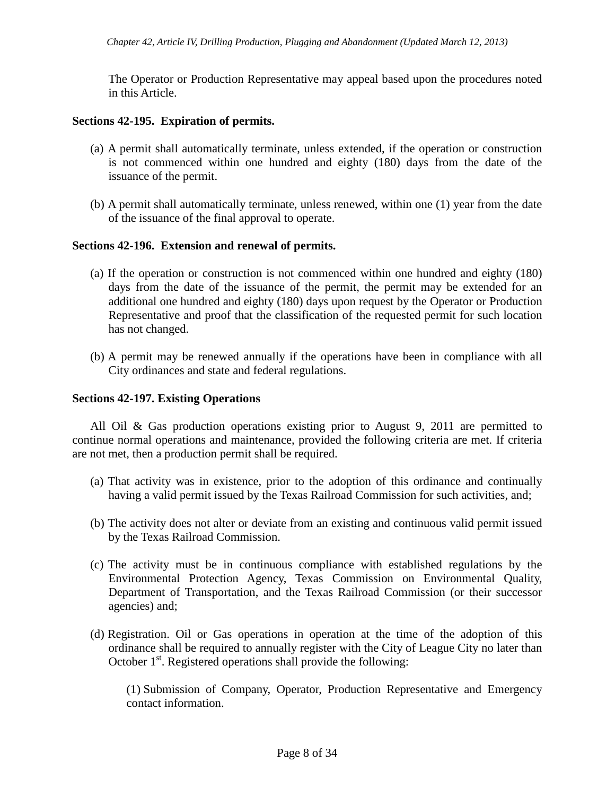The Operator or Production Representative may appeal based upon the procedures noted in this Article.

### **Sections 42-195. Expiration of permits.**

- (a) A permit shall automatically terminate, unless extended, if the operation or construction is not commenced within one hundred and eighty (180) days from the date of the issuance of the permit.
- (b) A permit shall automatically terminate, unless renewed, within one (1) year from the date of the issuance of the final approval to operate.

#### **Sections 42-196. Extension and renewal of permits.**

- (a) If the operation or construction is not commenced within one hundred and eighty (180) days from the date of the issuance of the permit, the permit may be extended for an additional one hundred and eighty (180) days upon request by the Operator or Production Representative and proof that the classification of the requested permit for such location has not changed.
- (b) A permit may be renewed annually if the operations have been in compliance with all City ordinances and state and federal regulations.

#### **Sections 42-197. Existing Operations**

All Oil & Gas production operations existing prior to August 9, 2011 are permitted to continue normal operations and maintenance, provided the following criteria are met. If criteria are not met, then a production permit shall be required.

- (a) That activity was in existence, prior to the adoption of this ordinance and continually having a valid permit issued by the Texas Railroad Commission for such activities, and;
- (b) The activity does not alter or deviate from an existing and continuous valid permit issued by the Texas Railroad Commission.
- (c) The activity must be in continuous compliance with established regulations by the Environmental Protection Agency, Texas Commission on Environmental Quality, Department of Transportation, and the Texas Railroad Commission (or their successor agencies) and;
- (d) Registration. Oil or Gas operations in operation at the time of the adoption of this ordinance shall be required to annually register with the City of League City no later than October 1<sup>st</sup>. Registered operations shall provide the following:

(1) Submission of Company, Operator, Production Representative and Emergency contact information.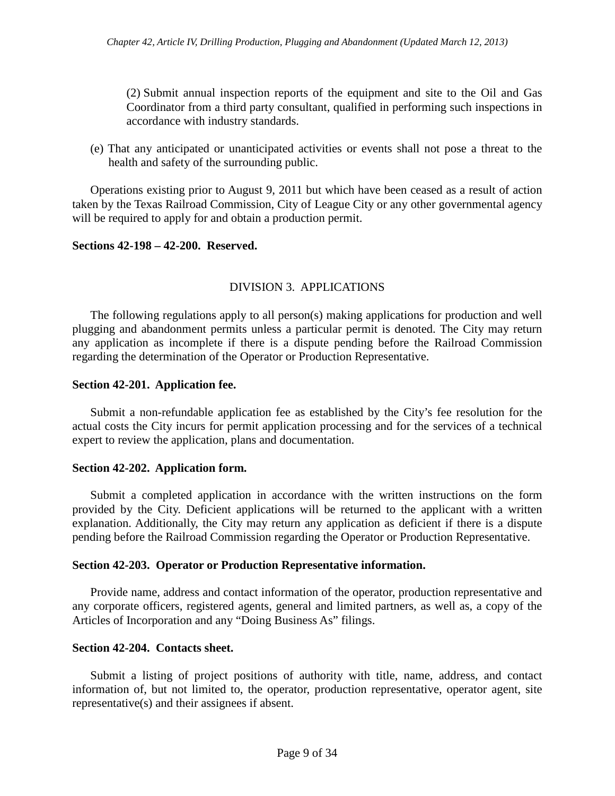(2) Submit annual inspection reports of the equipment and site to the Oil and Gas Coordinator from a third party consultant, qualified in performing such inspections in accordance with industry standards.

(e) That any anticipated or unanticipated activities or events shall not pose a threat to the health and safety of the surrounding public.

Operations existing prior to August 9, 2011 but which have been ceased as a result of action taken by the Texas Railroad Commission, City of League City or any other governmental agency will be required to apply for and obtain a production permit.

### **Sections 42-198 – 42-200. Reserved.**

## DIVISION 3. APPLICATIONS

The following regulations apply to all person(s) making applications for production and well plugging and abandonment permits unless a particular permit is denoted. The City may return any application as incomplete if there is a dispute pending before the Railroad Commission regarding the determination of the Operator or Production Representative.

### **Section 42-201. Application fee.**

Submit a non-refundable application fee as established by the City's fee resolution for the actual costs the City incurs for permit application processing and for the services of a technical expert to review the application, plans and documentation.

### **Section 42-202. Application form.**

Submit a completed application in accordance with the written instructions on the form provided by the City. Deficient applications will be returned to the applicant with a written explanation. Additionally, the City may return any application as deficient if there is a dispute pending before the Railroad Commission regarding the Operator or Production Representative.

#### **Section 42-203. Operator or Production Representative information.**

Provide name, address and contact information of the operator, production representative and any corporate officers, registered agents, general and limited partners, as well as, a copy of the Articles of Incorporation and any "Doing Business As" filings.

### **Section 42-204. Contacts sheet.**

Submit a listing of project positions of authority with title, name, address, and contact information of, but not limited to, the operator, production representative, operator agent, site representative(s) and their assignees if absent.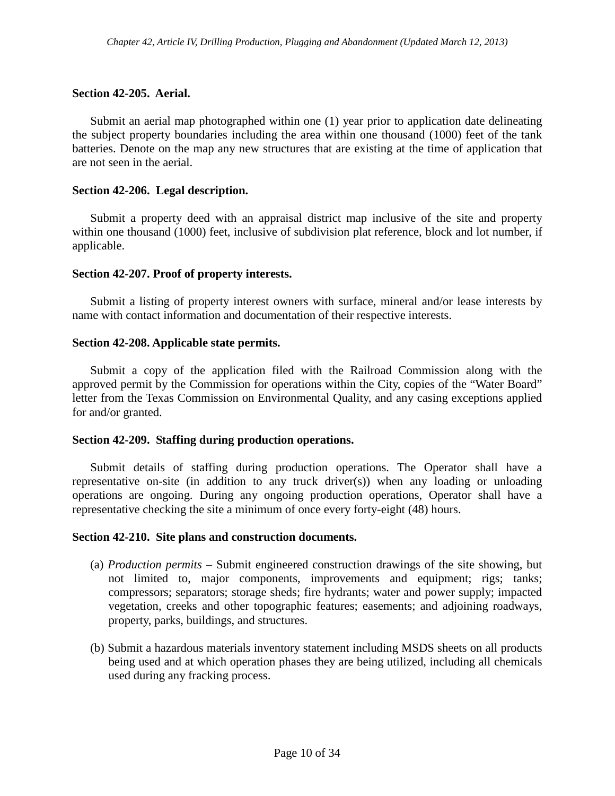## **Section 42-205. Aerial.**

Submit an aerial map photographed within one (1) year prior to application date delineating the subject property boundaries including the area within one thousand (1000) feet of the tank batteries. Denote on the map any new structures that are existing at the time of application that are not seen in the aerial.

### **Section 42-206. Legal description.**

Submit a property deed with an appraisal district map inclusive of the site and property within one thousand (1000) feet, inclusive of subdivision plat reference, block and lot number, if applicable.

### **Section 42-207. Proof of property interests.**

Submit a listing of property interest owners with surface, mineral and/or lease interests by name with contact information and documentation of their respective interests.

## **Section 42-208. Applicable state permits.**

Submit a copy of the application filed with the Railroad Commission along with the approved permit by the Commission for operations within the City, copies of the "Water Board" letter from the Texas Commission on Environmental Quality, and any casing exceptions applied for and/or granted.

### **Section 42-209. Staffing during production operations.**

Submit details of staffing during production operations. The Operator shall have a representative on-site (in addition to any truck driver(s)) when any loading or unloading operations are ongoing. During any ongoing production operations, Operator shall have a representative checking the site a minimum of once every forty-eight (48) hours.

### **Section 42-210. Site plans and construction documents.**

- (a) *Production permits –* Submit engineered construction drawings of the site showing, but not limited to, major components, improvements and equipment; rigs; tanks; compressors; separators; storage sheds; fire hydrants; water and power supply; impacted vegetation, creeks and other topographic features; easements; and adjoining roadways, property, parks, buildings, and structures.
- (b) Submit a hazardous materials inventory statement including MSDS sheets on all products being used and at which operation phases they are being utilized, including all chemicals used during any fracking process.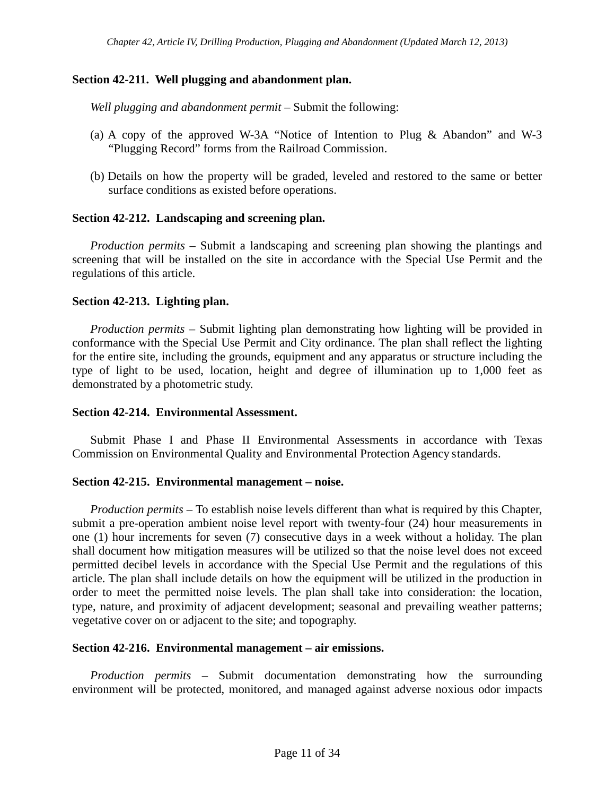# **Section 42-211. Well plugging and abandonment plan.**

*Well plugging and abandonment permit* – Submit the following:

- (a) A copy of the approved W-3A "Notice of Intention to Plug & Abandon" and W-3 "Plugging Record" forms from the Railroad Commission.
- (b) Details on how the property will be graded, leveled and restored to the same or better surface conditions as existed before operations.

# **Section 42-212. Landscaping and screening plan.**

*Production permits –* Submit a landscaping and screening plan showing the plantings and screening that will be installed on the site in accordance with the Special Use Permit and the regulations of this article.

## **Section 42-213. Lighting plan.**

*Production permits* – Submit lighting plan demonstrating how lighting will be provided in conformance with the Special Use Permit and City ordinance. The plan shall reflect the lighting for the entire site, including the grounds, equipment and any apparatus or structure including the type of light to be used, location, height and degree of illumination up to 1,000 feet as demonstrated by a photometric study.

### **Section 42-214. Environmental Assessment.**

Submit Phase I and Phase II Environmental Assessments in accordance with Texas Commission on Environmental Quality and Environmental Protection Agency standards.

### **Section 42-215. Environmental management – noise.**

*Production permits –* To establish noise levels different than what is required by this Chapter, submit a pre-operation ambient noise level report with twenty-four (24) hour measurements in one (1) hour increments for seven (7) consecutive days in a week without a holiday. The plan shall document how mitigation measures will be utilized so that the noise level does not exceed permitted decibel levels in accordance with the Special Use Permit and the regulations of this article. The plan shall include details on how the equipment will be utilized in the production in order to meet the permitted noise levels. The plan shall take into consideration: the location, type, nature, and proximity of adjacent development; seasonal and prevailing weather patterns; vegetative cover on or adjacent to the site; and topography.

### **Section 42-216. Environmental management – air emissions.**

*Production permits* – Submit documentation demonstrating how the surrounding environment will be protected, monitored, and managed against adverse noxious odor impacts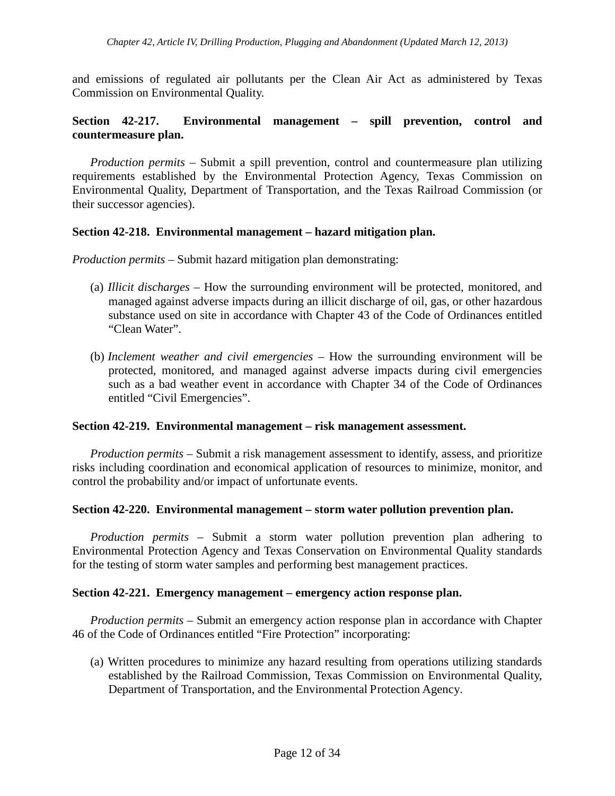and emissions of regulated air pollutants per the Clean Air Act as administered by Texas Commission on Environmental Quality.

# **Section 42-217. Environmental management – spill prevention, control and countermeasure plan.**

*Production permits –* Submit a spill prevention, control and countermeasure plan utilizing requirements established by the Environmental Protection Agency, Texas Commission on Environmental Quality, Department of Transportation, and the Texas Railroad Commission (or their successor agencies).

#### **Section 42-218. Environmental management – hazard mitigation plan.**

*Production permits –* Submit hazard mitigation plan demonstrating:

- (a) *Illicit discharges –* How the surrounding environment will be protected, monitored, and managed against adverse impacts during an illicit discharge of oil, gas, or other hazardous substance used on site in accordance with Chapter 43 of the Code of Ordinances entitled "Clean Water".
- (b) *Inclement weather and civil emergencies –* How the surrounding environment will be protected, monitored, and managed against adverse impacts during civil emergencies such as a bad weather event in accordance with Chapter 34 of the Code of Ordinances entitled "Civil Emergencies".

#### **Section 42-219. Environmental management – risk management assessment.**

*Production permits –* Submit a risk management assessment to identify, assess, and prioritize risks including coordination and economical application of resources to minimize, monitor, and control the probability and/or impact of unfortunate events.

#### **Section 42-220. Environmental management – storm water pollution prevention plan.**

*Production permits –* Submit a storm water pollution prevention plan adhering to Environmental Protection Agency and Texas Conservation on Environmental Quality standards for the testing of storm water samples and performing best management practices.

#### **Section 42-221. Emergency management – emergency action response plan.**

*Production permits –* Submit an emergency action response plan in accordance with Chapter 46 of the Code of Ordinances entitled "Fire Protection" incorporating:

(a) Written procedures to minimize any hazard resulting from operations utilizing standards established by the Railroad Commission, Texas Commission on Environmental Quality, Department of Transportation, and the Environmental Protection Agency.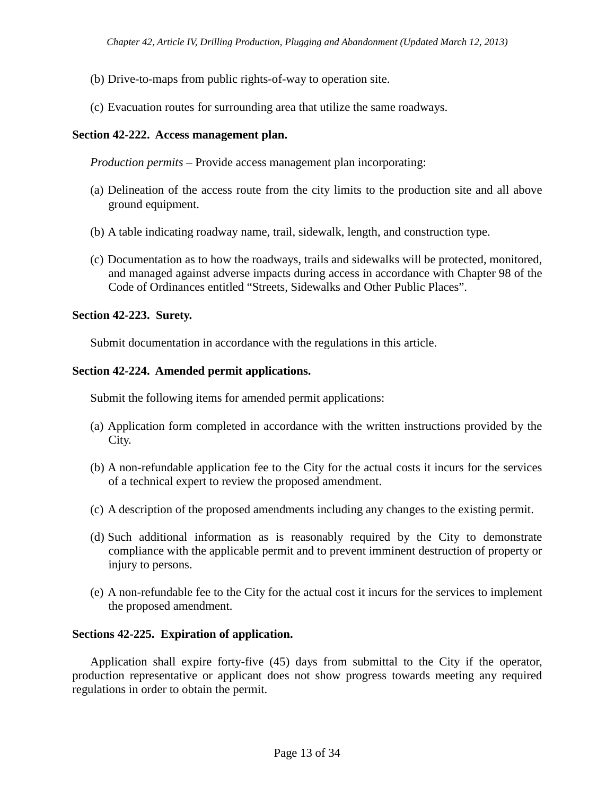- (b) Drive-to-maps from public rights-of-way to operation site.
- (c) Evacuation routes for surrounding area that utilize the same roadways.

## **Section 42-222. Access management plan.**

*Production permits –* Provide access management plan incorporating:

- (a) Delineation of the access route from the city limits to the production site and all above ground equipment.
- (b) A table indicating roadway name, trail, sidewalk, length, and construction type.
- (c) Documentation as to how the roadways, trails and sidewalks will be protected, monitored, and managed against adverse impacts during access in accordance with Chapter 98 of the Code of Ordinances entitled "Streets, Sidewalks and Other Public Places".

### **Section 42-223. Surety.**

Submit documentation in accordance with the regulations in this article.

## **Section 42-224. Amended permit applications.**

Submit the following items for amended permit applications:

- (a) Application form completed in accordance with the written instructions provided by the City.
- (b) A non-refundable application fee to the City for the actual costs it incurs for the services of a technical expert to review the proposed amendment.
- (c) A description of the proposed amendments including any changes to the existing permit.
- (d) Such additional information as is reasonably required by the City to demonstrate compliance with the applicable permit and to prevent imminent destruction of property or injury to persons.
- (e) A non-refundable fee to the City for the actual cost it incurs for the services to implement the proposed amendment.

### **Sections 42-225. Expiration of application.**

Application shall expire forty-five (45) days from submittal to the City if the operator, production representative or applicant does not show progress towards meeting any required regulations in order to obtain the permit.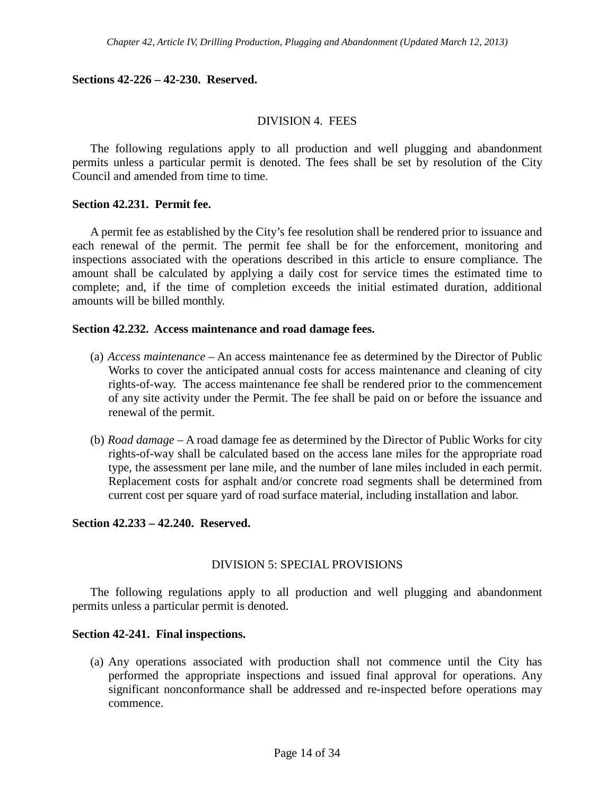#### **Sections 42-226 – 42-230. Reserved.**

#### DIVISION 4. FEES

The following regulations apply to all production and well plugging and abandonment permits unless a particular permit is denoted. The fees shall be set by resolution of the City Council and amended from time to time.

#### **Section 42.231. Permit fee.**

A permit fee as established by the City's fee resolution shall be rendered prior to issuance and each renewal of the permit. The permit fee shall be for the enforcement, monitoring and inspections associated with the operations described in this article to ensure compliance. The amount shall be calculated by applying a daily cost for service times the estimated time to complete; and, if the time of completion exceeds the initial estimated duration, additional amounts will be billed monthly.

#### **Section 42.232. Access maintenance and road damage fees.**

- (a) *Access maintenance –* An access maintenance fee as determined by the Director of Public Works to cover the anticipated annual costs for access maintenance and cleaning of city rights-of-way. The access maintenance fee shall be rendered prior to the commencement of any site activity under the Permit. The fee shall be paid on or before the issuance and renewal of the permit.
- (b) *Road damage –* A road damage fee as determined by the Director of Public Works for city rights-of-way shall be calculated based on the access lane miles for the appropriate road type, the assessment per lane mile, and the number of lane miles included in each permit. Replacement costs for asphalt and/or concrete road segments shall be determined from current cost per square yard of road surface material, including installation and labor.

### **Section 42.233 – 42.240. Reserved.**

### DIVISION 5: SPECIAL PROVISIONS

The following regulations apply to all production and well plugging and abandonment permits unless a particular permit is denoted.

#### **Section 42-241. Final inspections.**

(a) Any operations associated with production shall not commence until the City has performed the appropriate inspections and issued final approval for operations. Any significant nonconformance shall be addressed and re-inspected before operations may commence.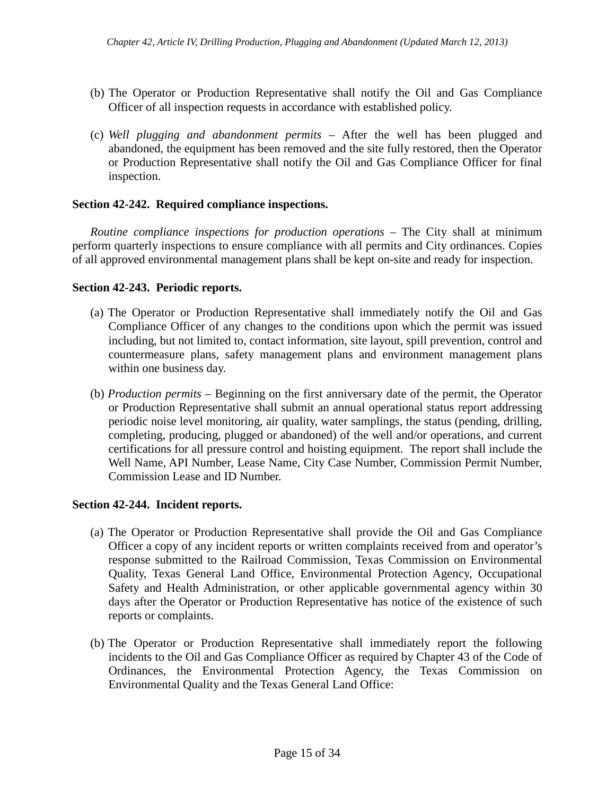- (b) The Operator or Production Representative shall notify the Oil and Gas Compliance Officer of all inspection requests in accordance with established policy.
- (c) *Well plugging and abandonment permits –* After the well has been plugged and abandoned, the equipment has been removed and the site fully restored, then the Operator or Production Representative shall notify the Oil and Gas Compliance Officer for final inspection.

# **Section 42-242. Required compliance inspections.**

*Routine compliance inspections for production operations –* The City shall at minimum perform quarterly inspections to ensure compliance with all permits and City ordinances. Copies of all approved environmental management plans shall be kept on-site and ready for inspection.

## **Section 42-243. Periodic reports.**

- (a) The Operator or Production Representative shall immediately notify the Oil and Gas Compliance Officer of any changes to the conditions upon which the permit was issued including, but not limited to, contact information, site layout, spill prevention, control and countermeasure plans, safety management plans and environment management plans within one business day.
- (b) *Production permits –* Beginning on the first anniversary date of the permit, the Operator or Production Representative shall submit an annual operational status report addressing periodic noise level monitoring, air quality, water samplings, the status (pending, drilling, completing, producing, plugged or abandoned) of the well and/or operations, and current certifications for all pressure control and hoisting equipment. The report shall include the Well Name, API Number, Lease Name, City Case Number, Commission Permit Number, Commission Lease and ID Number.

### **Section 42-244. Incident reports.**

- (a) The Operator or Production Representative shall provide the Oil and Gas Compliance Officer a copy of any incident reports or written complaints received from and operator's response submitted to the Railroad Commission, Texas Commission on Environmental Quality, Texas General Land Office, Environmental Protection Agency, Occupational Safety and Health Administration, or other applicable governmental agency within 30 days after the Operator or Production Representative has notice of the existence of such reports or complaints.
- (b) The Operator or Production Representative shall immediately report the following incidents to the Oil and Gas Compliance Officer as required by Chapter 43 of the Code of Ordinances, the Environmental Protection Agency, the Texas Commission on Environmental Quality and the Texas General Land Office: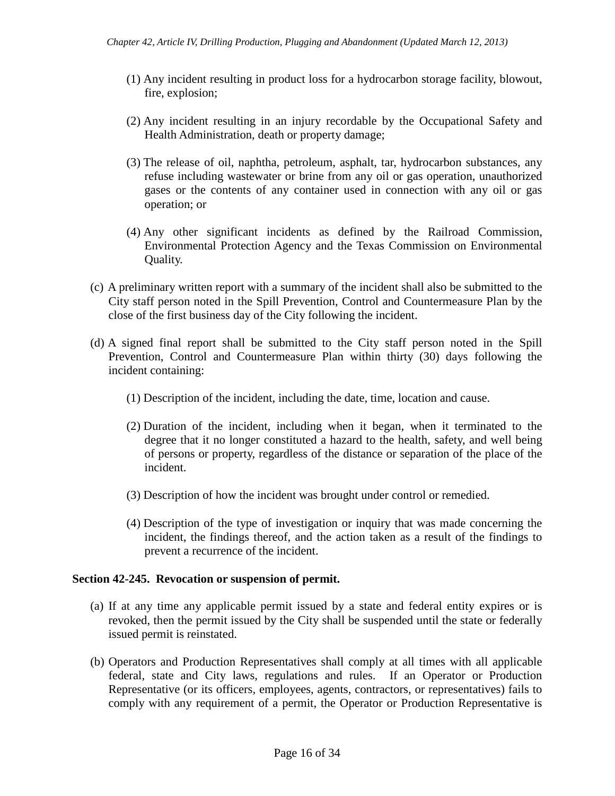- (1) Any incident resulting in product loss for a hydrocarbon storage facility, blowout, fire, explosion;
- (2) Any incident resulting in an injury recordable by the Occupational Safety and Health Administration, death or property damage;
- (3) The release of oil, naphtha, petroleum, asphalt, tar, hydrocarbon substances, any refuse including wastewater or brine from any oil or gas operation, unauthorized gases or the contents of any container used in connection with any oil or gas operation; or
- (4) Any other significant incidents as defined by the Railroad Commission, Environmental Protection Agency and the Texas Commission on Environmental Quality.
- (c) A preliminary written report with a summary of the incident shall also be submitted to the City staff person noted in the Spill Prevention, Control and Countermeasure Plan by the close of the first business day of the City following the incident.
- (d) A signed final report shall be submitted to the City staff person noted in the Spill Prevention, Control and Countermeasure Plan within thirty (30) days following the incident containing:
	- (1) Description of the incident, including the date, time, location and cause.
	- (2) Duration of the incident, including when it began, when it terminated to the degree that it no longer constituted a hazard to the health, safety, and well being of persons or property, regardless of the distance or separation of the place of the incident.
	- (3) Description of how the incident was brought under control or remedied.
	- (4) Description of the type of investigation or inquiry that was made concerning the incident, the findings thereof, and the action taken as a result of the findings to prevent a recurrence of the incident.

### **Section 42-245. Revocation or suspension of permit.**

- (a) If at any time any applicable permit issued by a state and federal entity expires or is revoked, then the permit issued by the City shall be suspended until the state or federally issued permit is reinstated.
- (b) Operators and Production Representatives shall comply at all times with all applicable federal, state and City laws, regulations and rules. If an Operator or Production Representative (or its officers, employees, agents, contractors, or representatives) fails to comply with any requirement of a permit, the Operator or Production Representative is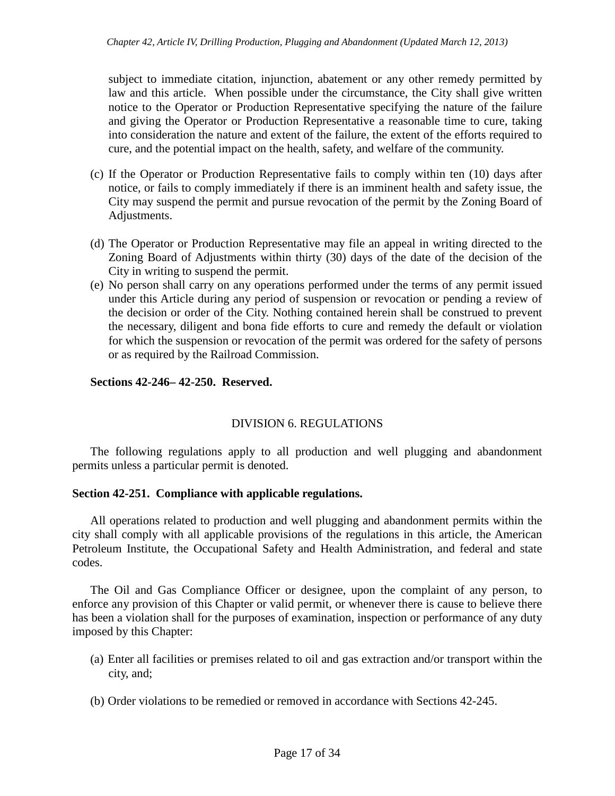subject to immediate citation, injunction, abatement or any other remedy permitted by law and this article. When possible under the circumstance, the City shall give written notice to the Operator or Production Representative specifying the nature of the failure and giving the Operator or Production Representative a reasonable time to cure, taking into consideration the nature and extent of the failure, the extent of the efforts required to cure, and the potential impact on the health, safety, and welfare of the community.

- (c) If the Operator or Production Representative fails to comply within ten (10) days after notice, or fails to comply immediately if there is an imminent health and safety issue, the City may suspend the permit and pursue revocation of the permit by the Zoning Board of Adjustments.
- (d) The Operator or Production Representative may file an appeal in writing directed to the Zoning Board of Adjustments within thirty (30) days of the date of the decision of the City in writing to suspend the permit.
- (e) No person shall carry on any operations performed under the terms of any permit issued under this Article during any period of suspension or revocation or pending a review of the decision or order of the City. Nothing contained herein shall be construed to prevent the necessary, diligent and bona fide efforts to cure and remedy the default or violation for which the suspension or revocation of the permit was ordered for the safety of persons or as required by the Railroad Commission.

## **Sections 42-246– 42-250. Reserved.**

# DIVISION 6. REGULATIONS

The following regulations apply to all production and well plugging and abandonment permits unless a particular permit is denoted.

### **Section 42-251. Compliance with applicable regulations.**

All operations related to production and well plugging and abandonment permits within the city shall comply with all applicable provisions of the regulations in this article, the American Petroleum Institute, the Occupational Safety and Health Administration, and federal and state codes.

The Oil and Gas Compliance Officer or designee, upon the complaint of any person, to enforce any provision of this Chapter or valid permit, or whenever there is cause to believe there has been a violation shall for the purposes of examination, inspection or performance of any duty imposed by this Chapter:

- (a) Enter all facilities or premises related to oil and gas extraction and/or transport within the city, and;
- (b) Order violations to be remedied or removed in accordance with Sections 42-245.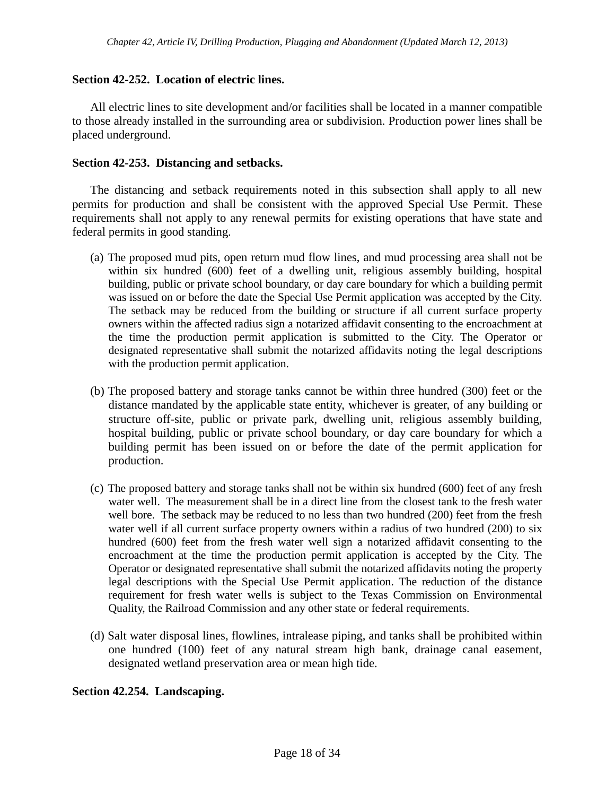### **Section 42-252. Location of electric lines.**

All electric lines to site development and/or facilities shall be located in a manner compatible to those already installed in the surrounding area or subdivision. Production power lines shall be placed underground.

### **Section 42-253. Distancing and setbacks.**

The distancing and setback requirements noted in this subsection shall apply to all new permits for production and shall be consistent with the approved Special Use Permit. These requirements shall not apply to any renewal permits for existing operations that have state and federal permits in good standing.

- (a) The proposed mud pits, open return mud flow lines, and mud processing area shall not be within six hundred (600) feet of a dwelling unit, religious assembly building, hospital building, public or private school boundary, or day care boundary for which a building permit was issued on or before the date the Special Use Permit application was accepted by the City. The setback may be reduced from the building or structure if all current surface property owners within the affected radius sign a notarized affidavit consenting to the encroachment at the time the production permit application is submitted to the City. The Operator or designated representative shall submit the notarized affidavits noting the legal descriptions with the production permit application.
- (b) The proposed battery and storage tanks cannot be within three hundred (300) feet or the distance mandated by the applicable state entity, whichever is greater, of any building or structure off-site, public or private park, dwelling unit, religious assembly building, hospital building, public or private school boundary, or day care boundary for which a building permit has been issued on or before the date of the permit application for production.
- (c) The proposed battery and storage tanks shall not be within six hundred (600) feet of any fresh water well. The measurement shall be in a direct line from the closest tank to the fresh water well bore. The setback may be reduced to no less than two hundred (200) feet from the fresh water well if all current surface property owners within a radius of two hundred (200) to six hundred (600) feet from the fresh water well sign a notarized affidavit consenting to the encroachment at the time the production permit application is accepted by the City. The Operator or designated representative shall submit the notarized affidavits noting the property legal descriptions with the Special Use Permit application. The reduction of the distance requirement for fresh water wells is subject to the Texas Commission on Environmental Quality, the Railroad Commission and any other state or federal requirements.
- (d) Salt water disposal lines, flowlines, intralease piping, and tanks shall be prohibited within one hundred (100) feet of any natural stream high bank, drainage canal easement, designated wetland preservation area or mean high tide.

### **Section 42.254. Landscaping.**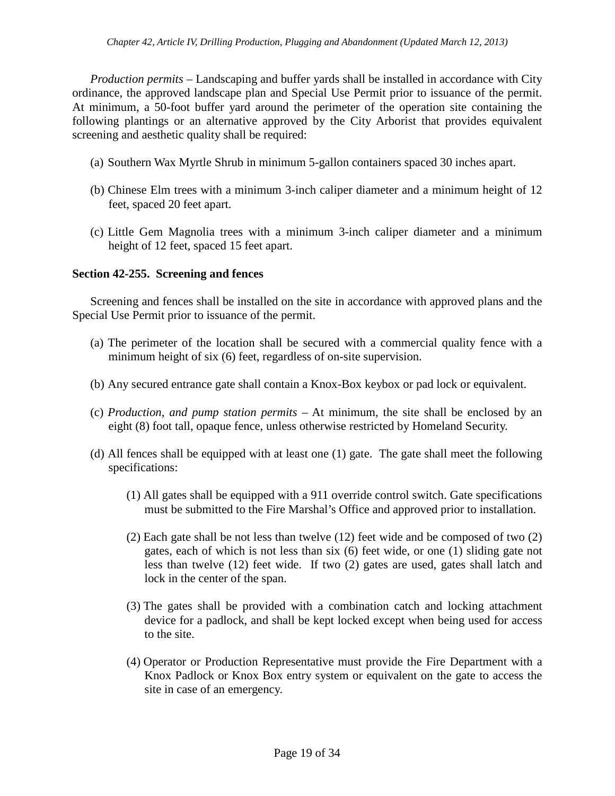*Production permits* – Landscaping and buffer yards shall be installed in accordance with City ordinance, the approved landscape plan and Special Use Permit prior to issuance of the permit. At minimum, a 50-foot buffer yard around the perimeter of the operation site containing the following plantings or an alternative approved by the City Arborist that provides equivalent screening and aesthetic quality shall be required:

- (a) Southern Wax Myrtle Shrub in minimum 5-gallon containers spaced 30 inches apart.
- (b) Chinese Elm trees with a minimum 3-inch caliper diameter and a minimum height of 12 feet, spaced 20 feet apart.
- (c) Little Gem Magnolia trees with a minimum 3-inch caliper diameter and a minimum height of 12 feet, spaced 15 feet apart.

## **Section 42-255. Screening and fences**

Screening and fences shall be installed on the site in accordance with approved plans and the Special Use Permit prior to issuance of the permit.

- (a) The perimeter of the location shall be secured with a commercial quality fence with a minimum height of six (6) feet, regardless of on-site supervision.
- (b) Any secured entrance gate shall contain a Knox-Box keybox or pad lock or equivalent.
- (c) *Production, and pump station permits –* At minimum, the site shall be enclosed by an eight (8) foot tall, opaque fence, unless otherwise restricted by Homeland Security.
- (d) All fences shall be equipped with at least one (1) gate. The gate shall meet the following specifications:
	- (1) All gates shall be equipped with a 911 override control switch. Gate specifications must be submitted to the Fire Marshal's Office and approved prior to installation.
	- (2) Each gate shall be not less than twelve (12) feet wide and be composed of two (2) gates, each of which is not less than six (6) feet wide, or one (1) sliding gate not less than twelve (12) feet wide. If two (2) gates are used, gates shall latch and lock in the center of the span.
	- (3) The gates shall be provided with a combination catch and locking attachment device for a padlock, and shall be kept locked except when being used for access to the site.
	- (4) Operator or Production Representative must provide the Fire Department with a Knox Padlock or Knox Box entry system or equivalent on the gate to access the site in case of an emergency.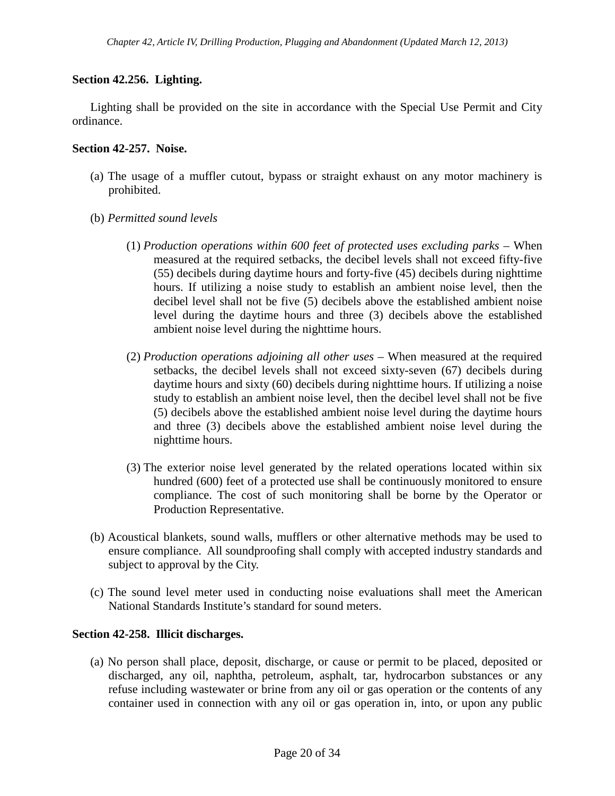## **Section 42.256. Lighting.**

Lighting shall be provided on the site in accordance with the Special Use Permit and City ordinance.

#### **Section 42-257. Noise.**

- (a) The usage of a muffler cutout, bypass or straight exhaust on any motor machinery is prohibited.
- (b) *Permitted sound levels*
	- (1) *Production operations within 600 feet of protected uses excluding parks –* When measured at the required setbacks, the decibel levels shall not exceed fifty-five (55) decibels during daytime hours and forty-five (45) decibels during nighttime hours. If utilizing a noise study to establish an ambient noise level, then the decibel level shall not be five (5) decibels above the established ambient noise level during the daytime hours and three (3) decibels above the established ambient noise level during the nighttime hours.
	- (2) *Production operations adjoining all other uses –* When measured at the required setbacks, the decibel levels shall not exceed sixty-seven (67) decibels during daytime hours and sixty (60) decibels during nighttime hours. If utilizing a noise study to establish an ambient noise level, then the decibel level shall not be five (5) decibels above the established ambient noise level during the daytime hours and three (3) decibels above the established ambient noise level during the nighttime hours.
	- (3) The exterior noise level generated by the related operations located within six hundred (600) feet of a protected use shall be continuously monitored to ensure compliance. The cost of such monitoring shall be borne by the Operator or Production Representative.
- (b) Acoustical blankets, sound walls, mufflers or other alternative methods may be used to ensure compliance. All soundproofing shall comply with accepted industry standards and subject to approval by the City.
- (c) The sound level meter used in conducting noise evaluations shall meet the American National Standards Institute's standard for sound meters.

### **Section 42-258. Illicit discharges.**

(a) No person shall place, deposit, discharge, or cause or permit to be placed, deposited or discharged, any oil, naphtha, petroleum, asphalt, tar, hydrocarbon substances or any refuse including wastewater or brine from any oil or gas operation or the contents of any container used in connection with any oil or gas operation in, into, or upon any public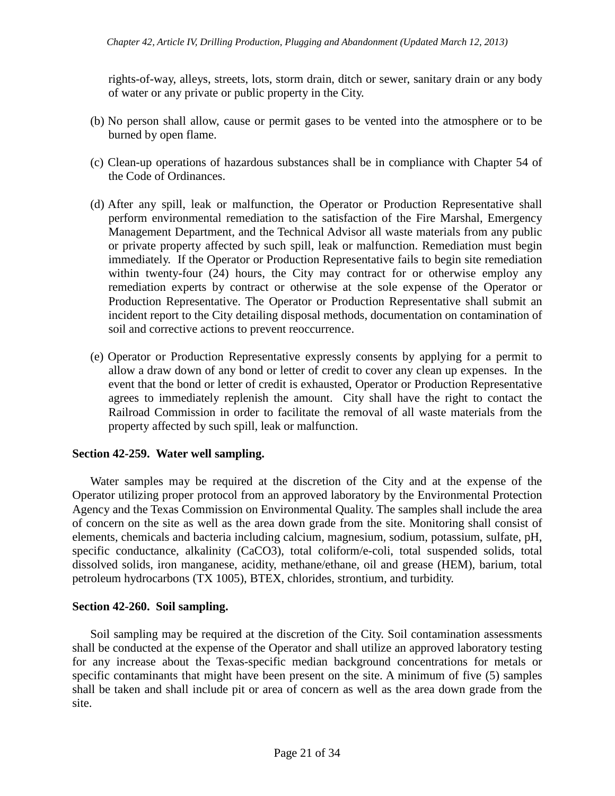rights-of-way, alleys, streets, lots, storm drain, ditch or sewer, sanitary drain or any body of water or any private or public property in the City.

- (b) No person shall allow, cause or permit gases to be vented into the atmosphere or to be burned by open flame.
- (c) Clean-up operations of hazardous substances shall be in compliance with Chapter 54 of the Code of Ordinances.
- (d) After any spill, leak or malfunction, the Operator or Production Representative shall perform environmental remediation to the satisfaction of the Fire Marshal, Emergency Management Department, and the Technical Advisor all waste materials from any public or private property affected by such spill, leak or malfunction. Remediation must begin immediately. If the Operator or Production Representative fails to begin site remediation within twenty-four (24) hours, the City may contract for or otherwise employ any remediation experts by contract or otherwise at the sole expense of the Operator or Production Representative. The Operator or Production Representative shall submit an incident report to the City detailing disposal methods, documentation on contamination of soil and corrective actions to prevent reoccurrence.
- (e) Operator or Production Representative expressly consents by applying for a permit to allow a draw down of any bond or letter of credit to cover any clean up expenses. In the event that the bond or letter of credit is exhausted, Operator or Production Representative agrees to immediately replenish the amount. City shall have the right to contact the Railroad Commission in order to facilitate the removal of all waste materials from the property affected by such spill, leak or malfunction.

# **Section 42-259. Water well sampling.**

Water samples may be required at the discretion of the City and at the expense of the Operator utilizing proper protocol from an approved laboratory by the Environmental Protection Agency and the Texas Commission on Environmental Quality. The samples shall include the area of concern on the site as well as the area down grade from the site. Monitoring shall consist of elements, chemicals and bacteria including calcium, magnesium, sodium, potassium, sulfate, pH, specific conductance, alkalinity (CaCO3), total coliform/e-coli, total suspended solids, total dissolved solids, iron manganese, acidity, methane/ethane, oil and grease (HEM), barium, total petroleum hydrocarbons (TX 1005), BTEX, chlorides, strontium, and turbidity.

### **Section 42-260. Soil sampling.**

Soil sampling may be required at the discretion of the City. Soil contamination assessments shall be conducted at the expense of the Operator and shall utilize an approved laboratory testing for any increase about the Texas-specific median background concentrations for metals or specific contaminants that might have been present on the site. A minimum of five (5) samples shall be taken and shall include pit or area of concern as well as the area down grade from the site.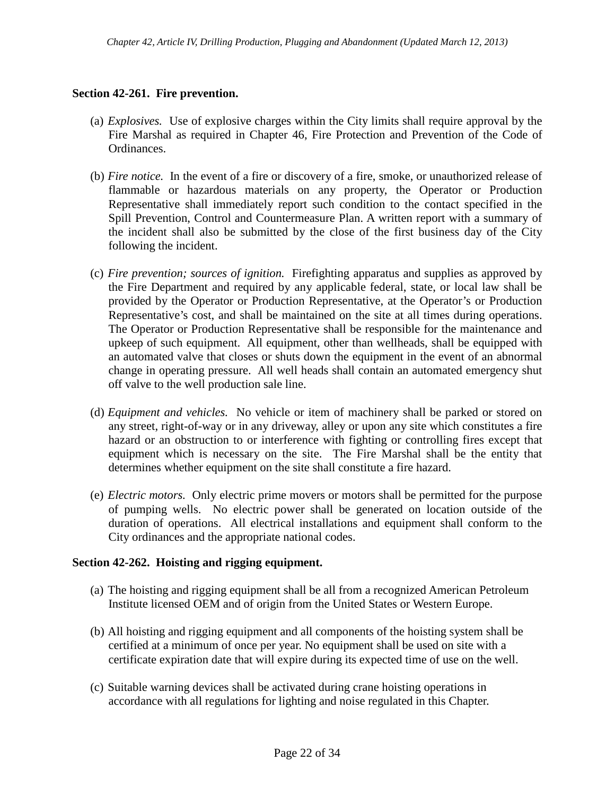# **Section 42-261. Fire prevention.**

- (a) *Explosives.* Use of explosive charges within the City limits shall require approval by the Fire Marshal as required in Chapter 46, Fire Protection and Prevention of the Code of Ordinances.
- (b) *Fire notice.* In the event of a fire or discovery of a fire, smoke, or unauthorized release of flammable or hazardous materials on any property, the Operator or Production Representative shall immediately report such condition to the contact specified in the Spill Prevention, Control and Countermeasure Plan. A written report with a summary of the incident shall also be submitted by the close of the first business day of the City following the incident.
- (c) *Fire prevention; sources of ignition.* Firefighting apparatus and supplies as approved by the Fire Department and required by any applicable federal, state, or local law shall be provided by the Operator or Production Representative, at the Operator's or Production Representative's cost, and shall be maintained on the site at all times during operations. The Operator or Production Representative shall be responsible for the maintenance and upkeep of such equipment. All equipment, other than wellheads, shall be equipped with an automated valve that closes or shuts down the equipment in the event of an abnormal change in operating pressure. All well heads shall contain an automated emergency shut off valve to the well production sale line.
- (d) *Equipment and vehicles.* No vehicle or item of machinery shall be parked or stored on any street, right-of-way or in any driveway, alley or upon any site which constitutes a fire hazard or an obstruction to or interference with fighting or controlling fires except that equipment which is necessary on the site. The Fire Marshal shall be the entity that determines whether equipment on the site shall constitute a fire hazard.
- (e) *Electric motors.* Only electric prime movers or motors shall be permitted for the purpose of pumping wells. No electric power shall be generated on location outside of the duration of operations. All electrical installations and equipment shall conform to the City ordinances and the appropriate national codes.

### **Section 42-262. Hoisting and rigging equipment.**

- (a) The hoisting and rigging equipment shall be all from a recognized American Petroleum Institute licensed OEM and of origin from the United States or Western Europe.
- (b) All hoisting and rigging equipment and all components of the hoisting system shall be certified at a minimum of once per year. No equipment shall be used on site with a certificate expiration date that will expire during its expected time of use on the well.
- (c) Suitable warning devices shall be activated during crane hoisting operations in accordance with all regulations for lighting and noise regulated in this Chapter.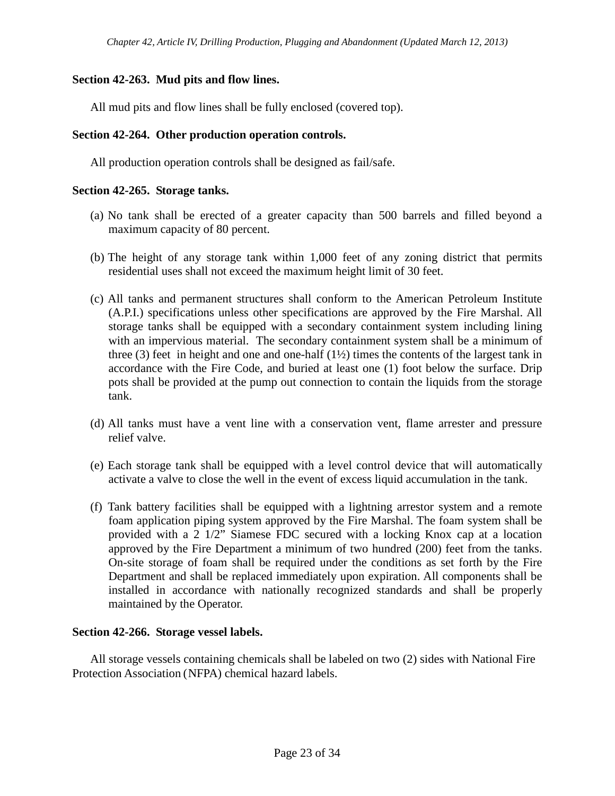# **Section 42-263. Mud pits and flow lines.**

All mud pits and flow lines shall be fully enclosed (covered top).

### **Section 42-264. Other production operation controls.**

All production operation controls shall be designed as fail/safe.

### **Section 42-265. Storage tanks.**

- (a) No tank shall be erected of a greater capacity than 500 barrels and filled beyond a maximum capacity of 80 percent.
- (b) The height of any storage tank within 1,000 feet of any zoning district that permits residential uses shall not exceed the maximum height limit of 30 feet.
- (c) All tanks and permanent structures shall conform to the American Petroleum Institute (A.P.I.) specifications unless other specifications are approved by the Fire Marshal. All storage tanks shall be equipped with a secondary containment system including lining with an impervious material. The secondary containment system shall be a minimum of three  $(3)$  feet in height and one and one-half  $(1\frac{1}{2})$  times the contents of the largest tank in accordance with the Fire Code, and buried at least one (1) foot below the surface. Drip pots shall be provided at the pump out connection to contain the liquids from the storage tank.
- (d) All tanks must have a vent line with a conservation vent, flame arrester and pressure relief valve.
- (e) Each storage tank shall be equipped with a level control device that will automatically activate a valve to close the well in the event of excess liquid accumulation in the tank.
- (f) Tank battery facilities shall be equipped with a lightning arrestor system and a remote foam application piping system approved by the Fire Marshal. The foam system shall be provided with a 2 1/2" Siamese FDC secured with a locking Knox cap at a location approved by the Fire Department a minimum of two hundred (200) feet from the tanks. On-site storage of foam shall be required under the conditions as set forth by the Fire Department and shall be replaced immediately upon expiration. All components shall be installed in accordance with nationally recognized standards and shall be properly maintained by the Operator.

### **Section 42-266. Storage vessel labels.**

All storage vessels containing chemicals shall be labeled on two (2) sides with National Fire Protection Association (NFPA) chemical hazard labels.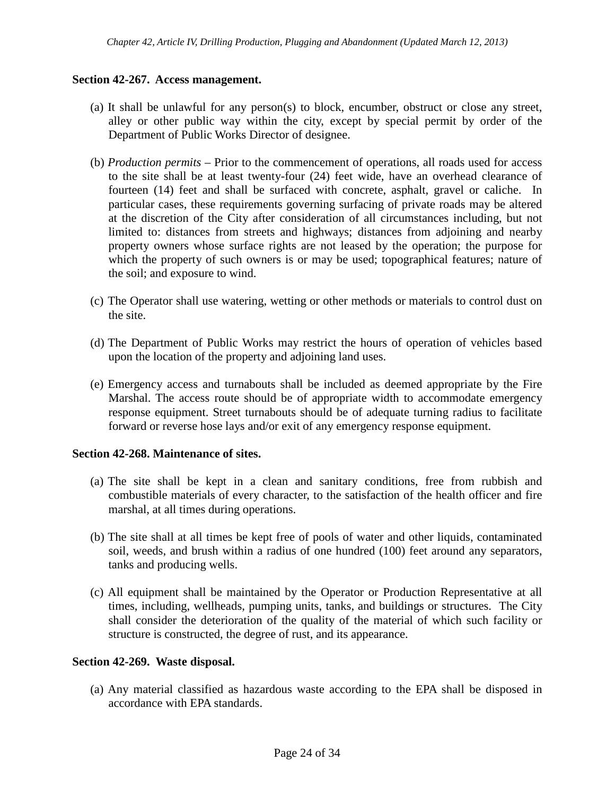### **Section 42-267. Access management.**

- (a) It shall be unlawful for any person(s) to block, encumber, obstruct or close any street, alley or other public way within the city, except by special permit by order of the Department of Public Works Director of designee.
- (b) *Production permits –* Prior to the commencement of operations, all roads used for access to the site shall be at least twenty-four (24) feet wide, have an overhead clearance of fourteen (14) feet and shall be surfaced with concrete, asphalt, gravel or caliche. In particular cases, these requirements governing surfacing of private roads may be altered at the discretion of the City after consideration of all circumstances including, but not limited to: distances from streets and highways; distances from adjoining and nearby property owners whose surface rights are not leased by the operation; the purpose for which the property of such owners is or may be used; topographical features; nature of the soil; and exposure to wind.
- (c) The Operator shall use watering, wetting or other methods or materials to control dust on the site.
- (d) The Department of Public Works may restrict the hours of operation of vehicles based upon the location of the property and adjoining land uses.
- (e) Emergency access and turnabouts shall be included as deemed appropriate by the Fire Marshal. The access route should be of appropriate width to accommodate emergency response equipment. Street turnabouts should be of adequate turning radius to facilitate forward or reverse hose lays and/or exit of any emergency response equipment.

### **Section 42-268. Maintenance of sites.**

- (a) The site shall be kept in a clean and sanitary conditions, free from rubbish and combustible materials of every character, to the satisfaction of the health officer and fire marshal, at all times during operations.
- (b) The site shall at all times be kept free of pools of water and other liquids, contaminated soil, weeds, and brush within a radius of one hundred (100) feet around any separators, tanks and producing wells.
- (c) All equipment shall be maintained by the Operator or Production Representative at all times, including, wellheads, pumping units, tanks, and buildings or structures. The City shall consider the deterioration of the quality of the material of which such facility or structure is constructed, the degree of rust, and its appearance.

### **Section 42-269. Waste disposal.**

(a) Any material classified as hazardous waste according to the EPA shall be disposed in accordance with EPA standards.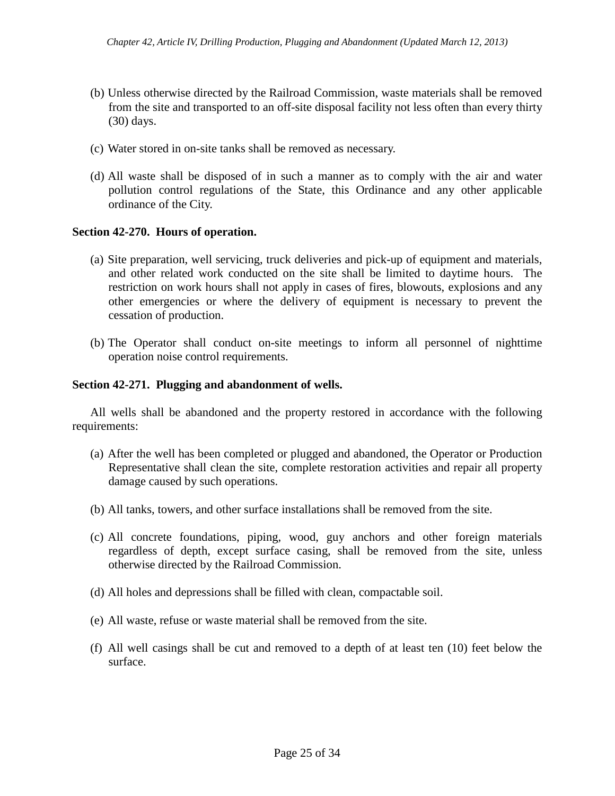- (b) Unless otherwise directed by the Railroad Commission, waste materials shall be removed from the site and transported to an off-site disposal facility not less often than every thirty (30) days.
- (c) Water stored in on-site tanks shall be removed as necessary.
- (d) All waste shall be disposed of in such a manner as to comply with the air and water pollution control regulations of the State, this Ordinance and any other applicable ordinance of the City.

## **Section 42-270. Hours of operation.**

- (a) Site preparation, well servicing, truck deliveries and pick-up of equipment and materials, and other related work conducted on the site shall be limited to daytime hours. The restriction on work hours shall not apply in cases of fires, blowouts, explosions and any other emergencies or where the delivery of equipment is necessary to prevent the cessation of production.
- (b) The Operator shall conduct on-site meetings to inform all personnel of nighttime operation noise control requirements.

## **Section 42-271. Plugging and abandonment of wells.**

All wells shall be abandoned and the property restored in accordance with the following requirements:

- (a) After the well has been completed or plugged and abandoned, the Operator or Production Representative shall clean the site, complete restoration activities and repair all property damage caused by such operations.
- (b) All tanks, towers, and other surface installations shall be removed from the site.
- (c) All concrete foundations, piping, wood, guy anchors and other foreign materials regardless of depth, except surface casing, shall be removed from the site, unless otherwise directed by the Railroad Commission.
- (d) All holes and depressions shall be filled with clean, compactable soil.
- (e) All waste, refuse or waste material shall be removed from the site.
- (f) All well casings shall be cut and removed to a depth of at least ten (10) feet below the surface.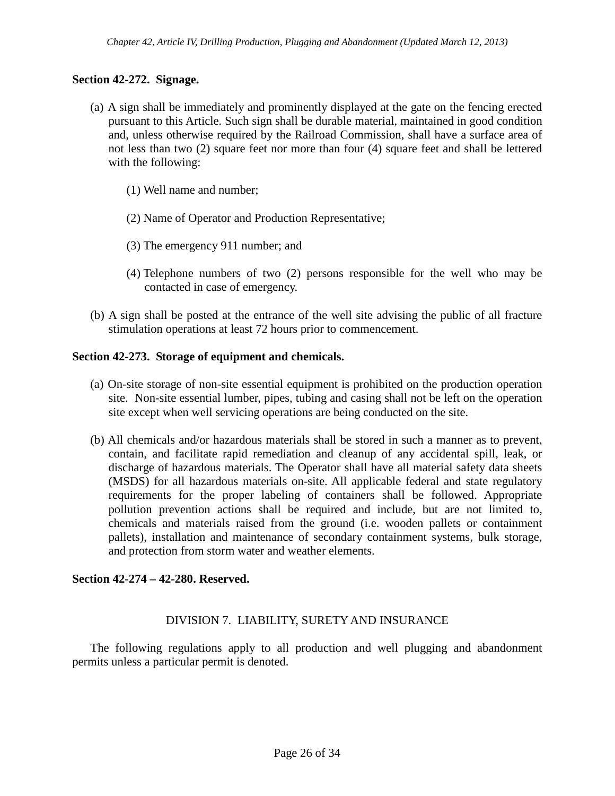## **Section 42-272. Signage.**

- (a) A sign shall be immediately and prominently displayed at the gate on the fencing erected pursuant to this Article. Such sign shall be durable material, maintained in good condition and, unless otherwise required by the Railroad Commission, shall have a surface area of not less than two (2) square feet nor more than four (4) square feet and shall be lettered with the following:
	- (1) Well name and number;
	- (2) Name of Operator and Production Representative;
	- (3) The emergency 911 number; and
	- (4) Telephone numbers of two (2) persons responsible for the well who may be contacted in case of emergency.
- (b) A sign shall be posted at the entrance of the well site advising the public of all fracture stimulation operations at least 72 hours prior to commencement.

### **Section 42-273. Storage of equipment and chemicals.**

- (a) On-site storage of non-site essential equipment is prohibited on the production operation site. Non-site essential lumber, pipes, tubing and casing shall not be left on the operation site except when well servicing operations are being conducted on the site.
- (b) All chemicals and/or hazardous materials shall be stored in such a manner as to prevent, contain, and facilitate rapid remediation and cleanup of any accidental spill, leak, or discharge of hazardous materials. The Operator shall have all material safety data sheets (MSDS) for all hazardous materials on-site. All applicable federal and state regulatory requirements for the proper labeling of containers shall be followed. Appropriate pollution prevention actions shall be required and include, but are not limited to, chemicals and materials raised from the ground (i.e. wooden pallets or containment pallets), installation and maintenance of secondary containment systems, bulk storage, and protection from storm water and weather elements.

### **Section 42-274 – 42-280. Reserved.**

### DIVISION 7. LIABILITY, SURETY AND INSURANCE

The following regulations apply to all production and well plugging and abandonment permits unless a particular permit is denoted.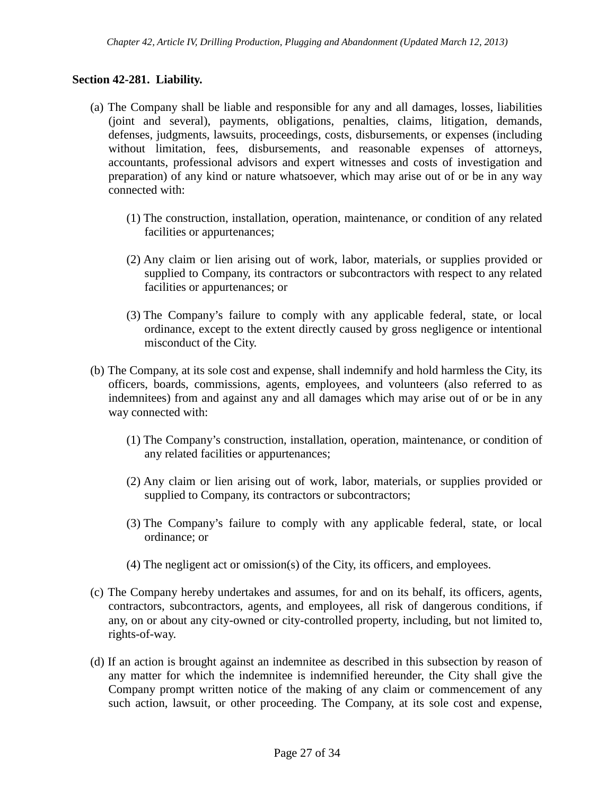## **Section 42-281. Liability.**

- (a) The Company shall be liable and responsible for any and all damages, losses, liabilities (joint and several), payments, obligations, penalties, claims, litigation, demands, defenses, judgments, lawsuits, proceedings, costs, disbursements, or expenses (including without limitation, fees, disbursements, and reasonable expenses of attorneys, accountants, professional advisors and expert witnesses and costs of investigation and preparation) of any kind or nature whatsoever, which may arise out of or be in any way connected with:
	- (1) The construction, installation, operation, maintenance, or condition of any related facilities or appurtenances;
	- (2) Any claim or lien arising out of work, labor, materials, or supplies provided or supplied to Company, its contractors or subcontractors with respect to any related facilities or appurtenances; or
	- (3) The Company's failure to comply with any applicable federal, state, or local ordinance, except to the extent directly caused by gross negligence or intentional misconduct of the City.
- (b) The Company, at its sole cost and expense, shall indemnify and hold harmless the City, its officers, boards, commissions, agents, employees, and volunteers (also referred to as indemnitees) from and against any and all damages which may arise out of or be in any way connected with:
	- (1) The Company's construction, installation, operation, maintenance, or condition of any related facilities or appurtenances;
	- (2) Any claim or lien arising out of work, labor, materials, or supplies provided or supplied to Company, its contractors or subcontractors;
	- (3) The Company's failure to comply with any applicable federal, state, or local ordinance; or
	- (4) The negligent act or omission(s) of the City, its officers, and employees.
- (c) The Company hereby undertakes and assumes, for and on its behalf, its officers, agents, contractors, subcontractors, agents, and employees, all risk of dangerous conditions, if any, on or about any city-owned or city-controlled property, including, but not limited to, rights-of-way.
- (d) If an action is brought against an indemnitee as described in this subsection by reason of any matter for which the indemnitee is indemnified hereunder, the City shall give the Company prompt written notice of the making of any claim or commencement of any such action, lawsuit, or other proceeding. The Company, at its sole cost and expense,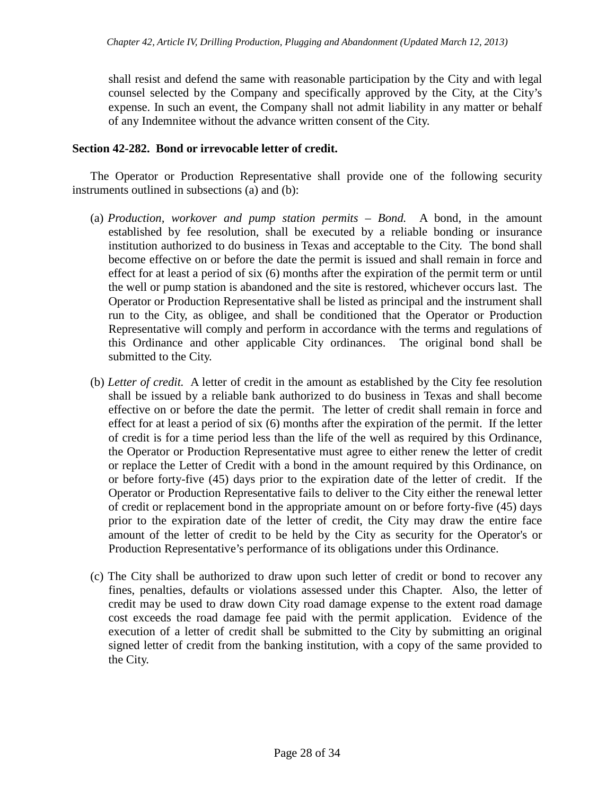shall resist and defend the same with reasonable participation by the City and with legal counsel selected by the Company and specifically approved by the City, at the City's expense. In such an event, the Company shall not admit liability in any matter or behalf of any Indemnitee without the advance written consent of the City.

### **Section 42-282. Bond or irrevocable letter of credit.**

The Operator or Production Representative shall provide one of the following security instruments outlined in subsections (a) and (b):

- (a) *Production, workover and pump station permits – Bond.* A bond, in the amount established by fee resolution, shall be executed by a reliable bonding or insurance institution authorized to do business in Texas and acceptable to the City. The bond shall become effective on or before the date the permit is issued and shall remain in force and effect for at least a period of six (6) months after the expiration of the permit term or until the well or pump station is abandoned and the site is restored, whichever occurs last. The Operator or Production Representative shall be listed as principal and the instrument shall run to the City, as obligee, and shall be conditioned that the Operator or Production Representative will comply and perform in accordance with the terms and regulations of this Ordinance and other applicable City ordinances. The original bond shall be submitted to the City.
- (b) *Letter of credit.* A letter of credit in the amount as established by the City fee resolution shall be issued by a reliable bank authorized to do business in Texas and shall become effective on or before the date the permit. The letter of credit shall remain in force and effect for at least a period of six (6) months after the expiration of the permit. If the letter of credit is for a time period less than the life of the well as required by this Ordinance, the Operator or Production Representative must agree to either renew the letter of credit or replace the Letter of Credit with a bond in the amount required by this Ordinance, on or before forty-five (45) days prior to the expiration date of the letter of credit. If the Operator or Production Representative fails to deliver to the City either the renewal letter of credit or replacement bond in the appropriate amount on or before forty-five (45) days prior to the expiration date of the letter of credit, the City may draw the entire face amount of the letter of credit to be held by the City as security for the Operator's or Production Representative's performance of its obligations under this Ordinance.
- (c) The City shall be authorized to draw upon such letter of credit or bond to recover any fines, penalties, defaults or violations assessed under this Chapter. Also, the letter of credit may be used to draw down City road damage expense to the extent road damage cost exceeds the road damage fee paid with the permit application. Evidence of the execution of a letter of credit shall be submitted to the City by submitting an original signed letter of credit from the banking institution, with a copy of the same provided to the City.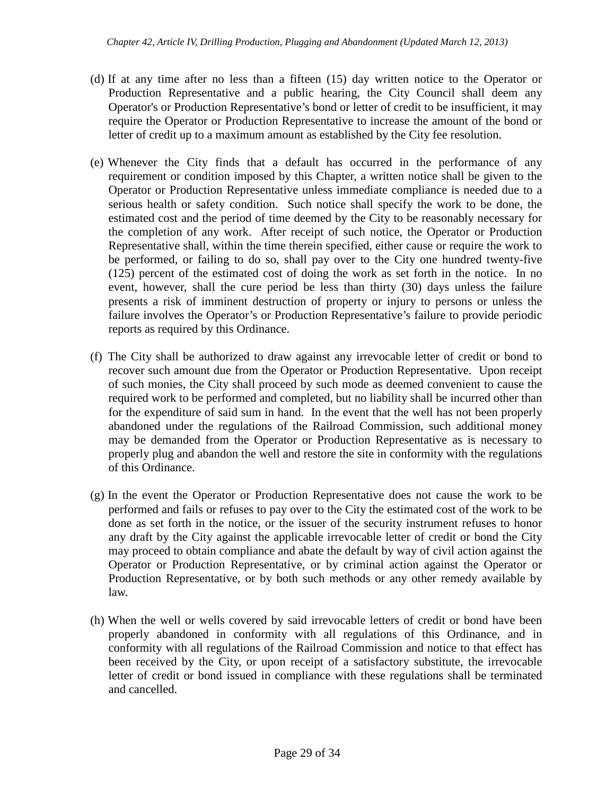- (d) If at any time after no less than a fifteen (15) day written notice to the Operator or Production Representative and a public hearing, the City Council shall deem any Operator's or Production Representative's bond or letter of credit to be insufficient, it may require the Operator or Production Representative to increase the amount of the bond or letter of credit up to a maximum amount as established by the City fee resolution.
- (e) Whenever the City finds that a default has occurred in the performance of any requirement or condition imposed by this Chapter, a written notice shall be given to the Operator or Production Representative unless immediate compliance is needed due to a serious health or safety condition. Such notice shall specify the work to be done, the estimated cost and the period of time deemed by the City to be reasonably necessary for the completion of any work. After receipt of such notice, the Operator or Production Representative shall, within the time therein specified, either cause or require the work to be performed, or failing to do so, shall pay over to the City one hundred twenty-five (125) percent of the estimated cost of doing the work as set forth in the notice. In no event, however, shall the cure period be less than thirty (30) days unless the failure presents a risk of imminent destruction of property or injury to persons or unless the failure involves the Operator's or Production Representative's failure to provide periodic reports as required by this Ordinance.
- (f) The City shall be authorized to draw against any irrevocable letter of credit or bond to recover such amount due from the Operator or Production Representative. Upon receipt of such monies, the City shall proceed by such mode as deemed convenient to cause the required work to be performed and completed, but no liability shall be incurred other than for the expenditure of said sum in hand. In the event that the well has not been properly abandoned under the regulations of the Railroad Commission, such additional money may be demanded from the Operator or Production Representative as is necessary to properly plug and abandon the well and restore the site in conformity with the regulations of this Ordinance.
- (g) In the event the Operator or Production Representative does not cause the work to be performed and fails or refuses to pay over to the City the estimated cost of the work to be done as set forth in the notice, or the issuer of the security instrument refuses to honor any draft by the City against the applicable irrevocable letter of credit or bond the City may proceed to obtain compliance and abate the default by way of civil action against the Operator or Production Representative, or by criminal action against the Operator or Production Representative, or by both such methods or any other remedy available by law.
- (h) When the well or wells covered by said irrevocable letters of credit or bond have been properly abandoned in conformity with all regulations of this Ordinance, and in conformity with all regulations of the Railroad Commission and notice to that effect has been received by the City, or upon receipt of a satisfactory substitute, the irrevocable letter of credit or bond issued in compliance with these regulations shall be terminated and cancelled.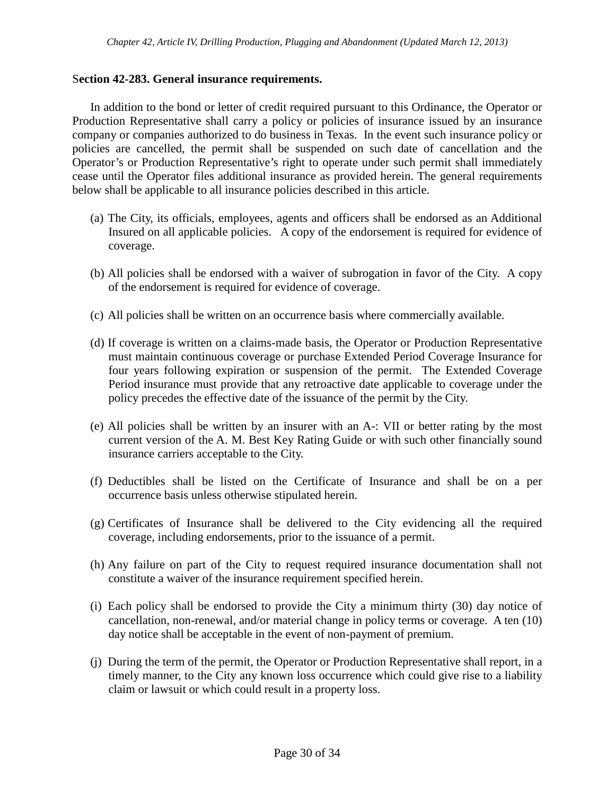### S**ection 42-283. General insurance requirements.**

In addition to the bond or letter of credit required pursuant to this Ordinance, the Operator or Production Representative shall carry a policy or policies of insurance issued by an insurance company or companies authorized to do business in Texas. In the event such insurance policy or policies are cancelled, the permit shall be suspended on such date of cancellation and the Operator's or Production Representative's right to operate under such permit shall immediately cease until the Operator files additional insurance as provided herein. The general requirements below shall be applicable to all insurance policies described in this article.

- (a) The City, its officials, employees, agents and officers shall be endorsed as an Additional Insured on all applicable policies. A copy of the endorsement is required for evidence of coverage.
- (b) All policies shall be endorsed with a waiver of subrogation in favor of the City. A copy of the endorsement is required for evidence of coverage.
- (c) All policies shall be written on an occurrence basis where commercially available.
- (d) If coverage is written on a claims-made basis, the Operator or Production Representative must maintain continuous coverage or purchase Extended Period Coverage Insurance for four years following expiration or suspension of the permit. The Extended Coverage Period insurance must provide that any retroactive date applicable to coverage under the policy precedes the effective date of the issuance of the permit by the City.
- (e) All policies shall be written by an insurer with an A-: VII or better rating by the most current version of the A. M. Best Key Rating Guide or with such other financially sound insurance carriers acceptable to the City.
- (f) Deductibles shall be listed on the Certificate of Insurance and shall be on a per occurrence basis unless otherwise stipulated herein.
- (g) Certificates of Insurance shall be delivered to the City evidencing all the required coverage, including endorsements, prior to the issuance of a permit.
- (h) Any failure on part of the City to request required insurance documentation shall not constitute a waiver of the insurance requirement specified herein.
- (i) Each policy shall be endorsed to provide the City a minimum thirty (30) day notice of cancellation, non-renewal, and/or material change in policy terms or coverage. A ten (10) day notice shall be acceptable in the event of non-payment of premium.
- (j) During the term of the permit, the Operator or Production Representative shall report, in a timely manner, to the City any known loss occurrence which could give rise to a liability claim or lawsuit or which could result in a property loss.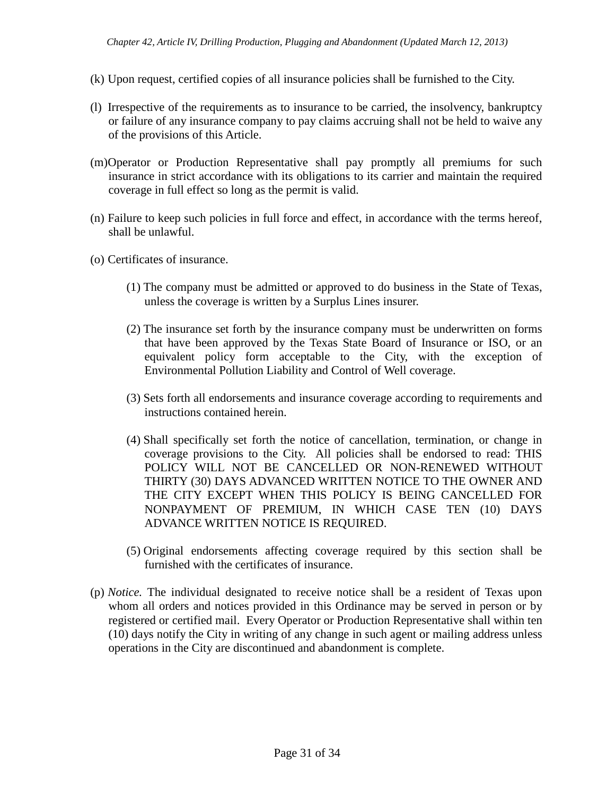- (k) Upon request, certified copies of all insurance policies shall be furnished to the City.
- (l) Irrespective of the requirements as to insurance to be carried, the insolvency, bankruptcy or failure of any insurance company to pay claims accruing shall not be held to waive any of the provisions of this Article.
- (m)Operator or Production Representative shall pay promptly all premiums for such insurance in strict accordance with its obligations to its carrier and maintain the required coverage in full effect so long as the permit is valid.
- (n) Failure to keep such policies in full force and effect, in accordance with the terms hereof, shall be unlawful.
- (o) Certificates of insurance.
	- (1) The company must be admitted or approved to do business in the State of Texas, unless the coverage is written by a Surplus Lines insurer.
	- (2) The insurance set forth by the insurance company must be underwritten on forms that have been approved by the Texas State Board of Insurance or ISO, or an equivalent policy form acceptable to the City, with the exception of Environmental Pollution Liability and Control of Well coverage.
	- (3) Sets forth all endorsements and insurance coverage according to requirements and instructions contained herein.
	- (4) Shall specifically set forth the notice of cancellation, termination, or change in coverage provisions to the City. All policies shall be endorsed to read: THIS POLICY WILL NOT BE CANCELLED OR NON-RENEWED WITHOUT THIRTY (30) DAYS ADVANCED WRITTEN NOTICE TO THE OWNER AND THE CITY EXCEPT WHEN THIS POLICY IS BEING CANCELLED FOR NONPAYMENT OF PREMIUM, IN WHICH CASE TEN (10) DAYS ADVANCE WRITTEN NOTICE IS REQUIRED.
	- (5) Original endorsements affecting coverage required by this section shall be furnished with the certificates of insurance.
- (p) *Notice.* The individual designated to receive notice shall be a resident of Texas upon whom all orders and notices provided in this Ordinance may be served in person or by registered or certified mail. Every Operator or Production Representative shall within ten (10) days notify the City in writing of any change in such agent or mailing address unless operations in the City are discontinued and abandonment is complete.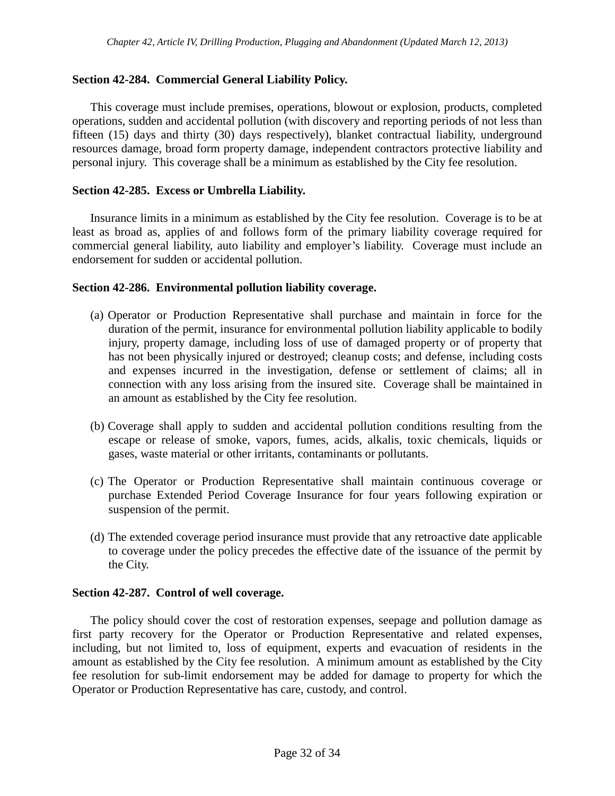# **Section 42-284. Commercial General Liability Policy.**

This coverage must include premises, operations, blowout or explosion, products, completed operations, sudden and accidental pollution (with discovery and reporting periods of not less than fifteen (15) days and thirty (30) days respectively), blanket contractual liability, underground resources damage, broad form property damage, independent contractors protective liability and personal injury. This coverage shall be a minimum as established by the City fee resolution.

### **Section 42-285. Excess or Umbrella Liability.**

Insurance limits in a minimum as established by the City fee resolution. Coverage is to be at least as broad as, applies of and follows form of the primary liability coverage required for commercial general liability, auto liability and employer's liability. Coverage must include an endorsement for sudden or accidental pollution.

## **Section 42-286. Environmental pollution liability coverage.**

- (a) Operator or Production Representative shall purchase and maintain in force for the duration of the permit, insurance for environmental pollution liability applicable to bodily injury, property damage, including loss of use of damaged property or of property that has not been physically injured or destroyed; cleanup costs; and defense, including costs and expenses incurred in the investigation, defense or settlement of claims; all in connection with any loss arising from the insured site. Coverage shall be maintained in an amount as established by the City fee resolution.
- (b) Coverage shall apply to sudden and accidental pollution conditions resulting from the escape or release of smoke, vapors, fumes, acids, alkalis, toxic chemicals, liquids or gases, waste material or other irritants, contaminants or pollutants.
- (c) The Operator or Production Representative shall maintain continuous coverage or purchase Extended Period Coverage Insurance for four years following expiration or suspension of the permit.
- (d) The extended coverage period insurance must provide that any retroactive date applicable to coverage under the policy precedes the effective date of the issuance of the permit by the City.

### **Section 42-287. Control of well coverage.**

The policy should cover the cost of restoration expenses, seepage and pollution damage as first party recovery for the Operator or Production Representative and related expenses, including, but not limited to, loss of equipment, experts and evacuation of residents in the amount as established by the City fee resolution. A minimum amount as established by the City fee resolution for sub-limit endorsement may be added for damage to property for which the Operator or Production Representative has care, custody, and control.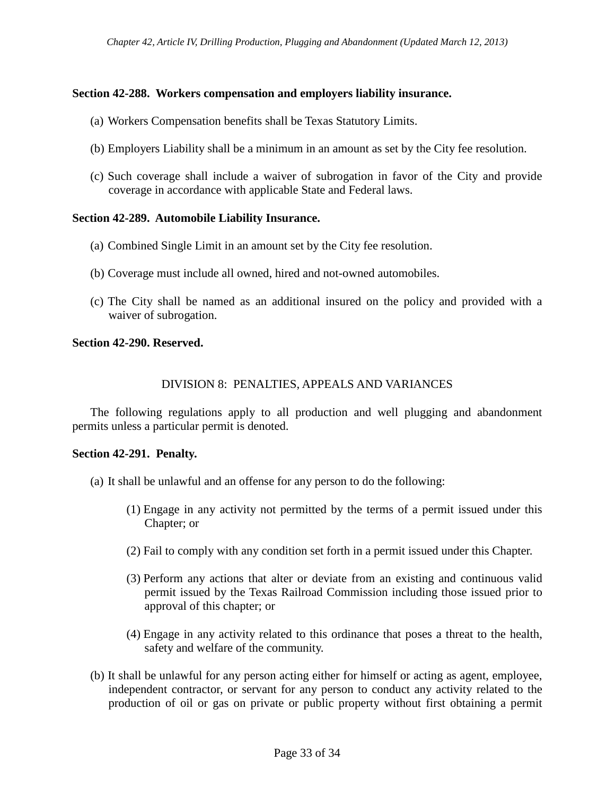### **Section 42-288. Workers compensation and employers liability insurance.**

- (a) Workers Compensation benefits shall be Texas Statutory Limits.
- (b) Employers Liability shall be a minimum in an amount as set by the City fee resolution.
- (c) Such coverage shall include a waiver of subrogation in favor of the City and provide coverage in accordance with applicable State and Federal laws.

### **Section 42-289. Automobile Liability Insurance.**

- (a) Combined Single Limit in an amount set by the City fee resolution.
- (b) Coverage must include all owned, hired and not-owned automobiles.
- (c) The City shall be named as an additional insured on the policy and provided with a waiver of subrogation.

## **Section 42-290. Reserved.**

# DIVISION 8: PENALTIES, APPEALS AND VARIANCES

The following regulations apply to all production and well plugging and abandonment permits unless a particular permit is denoted.

### **Section 42-291. Penalty.**

- (a) It shall be unlawful and an offense for any person to do the following:
	- (1) Engage in any activity not permitted by the terms of a permit issued under this Chapter; or
	- (2) Fail to comply with any condition set forth in a permit issued under this Chapter.
	- (3) Perform any actions that alter or deviate from an existing and continuous valid permit issued by the Texas Railroad Commission including those issued prior to approval of this chapter; or
	- (4) Engage in any activity related to this ordinance that poses a threat to the health, safety and welfare of the community.
- (b) It shall be unlawful for any person acting either for himself or acting as agent, employee, independent contractor, or servant for any person to conduct any activity related to the production of oil or gas on private or public property without first obtaining a permit